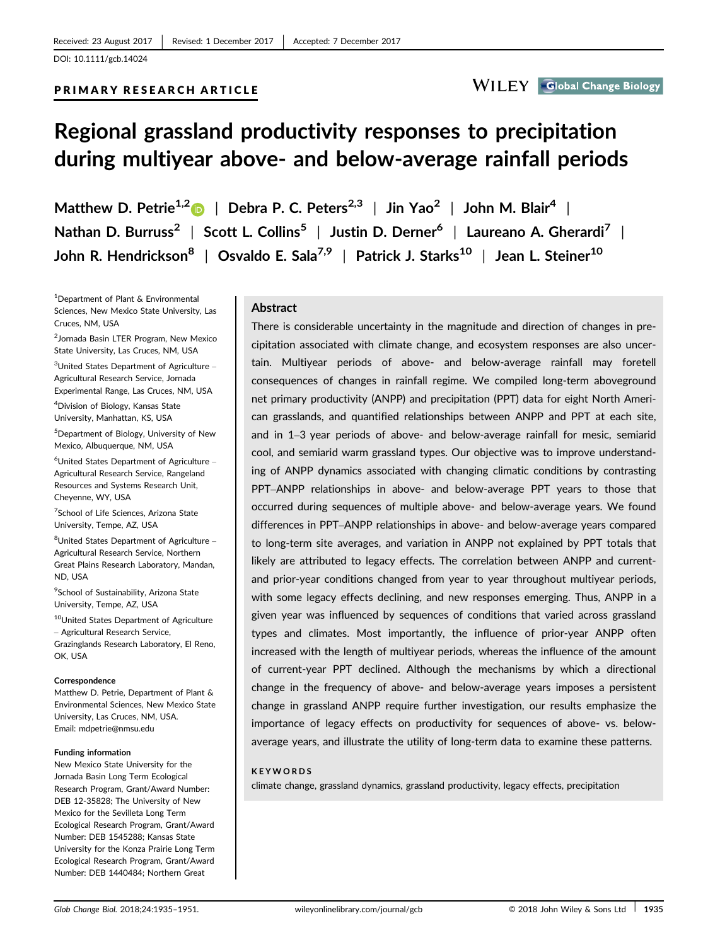# PRIMARY RESEARCH ARTICLE



# Regional grassland productivity responses to precipitation during multiyear above- and below-average rainfall periods

Matthew D. Petrie<sup>1,[2](http://orcid.org/0000-0001-5532-8829)</sup> | Debra P. C. Peters<sup>2,3</sup> | Jin Yao<sup>2</sup> | John M. Blair<sup>4</sup> | Nathan D. Burruss<sup>2</sup> | Scott L. Collins<sup>5</sup> | Justin D. Derner<sup>6</sup> | Laureano A. Gherardi<sup>7</sup> | John R. Hendrickson<sup>8</sup> | Osvaldo E. Sala<sup>7,9</sup> | Patrick J. Starks<sup>10</sup> | Jean L. Steiner<sup>10</sup>

1 Department of Plant & Environmental Sciences, New Mexico State University, Las Cruces, NM, USA

2 Jornada Basin LTER Program, New Mexico State University, Las Cruces, NM, USA

3 United States Department of Agriculture – Agricultural Research Service, Jornada Experimental Range, Las Cruces, NM, USA

4 Division of Biology, Kansas State University, Manhattan, KS, USA

5 Department of Biology, University of New Mexico, Albuquerque, NM, USA

6 United States Department of Agriculture – Agricultural Research Service, Rangeland Resources and Systems Research Unit, Cheyenne, WY, USA

<sup>7</sup>School of Life Sciences, Arizona State University, Tempe, AZ, USA

<sup>8</sup>United States Department of Agriculture -Agricultural Research Service, Northern Great Plains Research Laboratory, Mandan, ND, USA

9 School of Sustainability, Arizona State University, Tempe, AZ, USA

10United States Department of Agriculture – Agricultural Research Service, Grazinglands Research Laboratory, El Reno, OK, USA

#### Correspondence

Matthew D. Petrie, Department of Plant & Environmental Sciences, New Mexico State University, Las Cruces, NM, USA. Email: mdpetrie@nmsu.edu

#### Funding information

New Mexico State University for the Jornada Basin Long Term Ecological Research Program, Grant/Award Number: DEB 12-35828; The University of New Mexico for the Sevilleta Long Term Ecological Research Program, Grant/Award Number: DEB 1545288; Kansas State University for the Konza Prairie Long Term Ecological Research Program, Grant/Award Number: DEB 1440484; Northern Great

## **Abstract**

There is considerable uncertainty in the magnitude and direction of changes in precipitation associated with climate change, and ecosystem responses are also uncertain. Multiyear periods of above- and below-average rainfall may foretell consequences of changes in rainfall regime. We compiled long-term aboveground net primary productivity (ANPP) and precipitation (PPT) data for eight North American grasslands, and quantified relationships between ANPP and PPT at each site, and in 1–3 year periods of above- and below-average rainfall for mesic, semiarid cool, and semiarid warm grassland types. Our objective was to improve understanding of ANPP dynamics associated with changing climatic conditions by contrasting PPT–ANPP relationships in above- and below-average PPT years to those that occurred during sequences of multiple above- and below-average years. We found differences in PPT–ANPP relationships in above- and below-average years compared to long-term site averages, and variation in ANPP not explained by PPT totals that likely are attributed to legacy effects. The correlation between ANPP and currentand prior-year conditions changed from year to year throughout multiyear periods, with some legacy effects declining, and new responses emerging. Thus, ANPP in a given year was influenced by sequences of conditions that varied across grassland types and climates. Most importantly, the influence of prior-year ANPP often increased with the length of multiyear periods, whereas the influence of the amount of current-year PPT declined. Although the mechanisms by which a directional change in the frequency of above- and below-average years imposes a persistent change in grassland ANPP require further investigation, our results emphasize the importance of legacy effects on productivity for sequences of above- vs. belowaverage years, and illustrate the utility of long-term data to examine these patterns.

#### KEYWORDS

climate change, grassland dynamics, grassland productivity, legacy effects, precipitation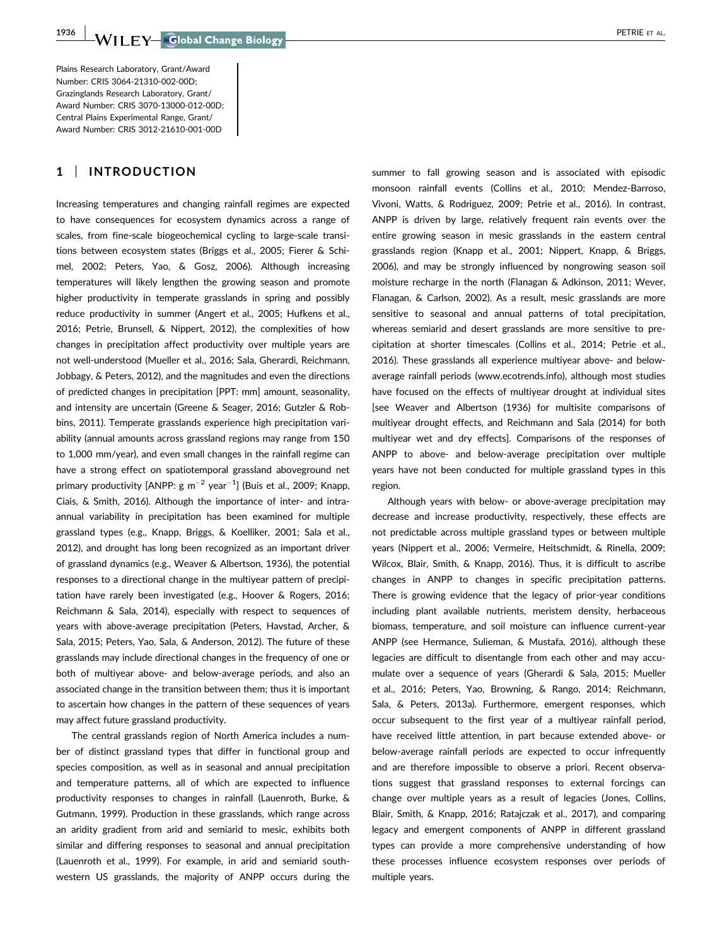Plains Research Laboratory, Grant/Award Number: CRIS 3064-21310-002-00D; Grazinglands Research Laboratory, Grant/ Award Number: CRIS 3070-13000-012-00D; Central Plains Experimental Range, Grant/ Award Number: CRIS 3012-21610-001-00D

# 1 | INTRODUCTION

Increasing temperatures and changing rainfall regimes are expected to have consequences for ecosystem dynamics across a range of scales, from fine-scale biogeochemical cycling to large-scale transitions between ecosystem states (Briggs et al., 2005; Fierer & Schimel, 2002; Peters, Yao, & Gosz, 2006). Although increasing temperatures will likely lengthen the growing season and promote higher productivity in temperate grasslands in spring and possibly reduce productivity in summer (Angert et al., 2005; Hufkens et al., 2016; Petrie, Brunsell, & Nippert, 2012), the complexities of how changes in precipitation affect productivity over multiple years are not well-understood (Mueller et al., 2016; Sala, Gherardi, Reichmann, Jobbagy, & Peters, 2012), and the magnitudes and even the directions of predicted changes in precipitation [PPT: mm] amount, seasonality, and intensity are uncertain (Greene & Seager, 2016; Gutzler & Robbins, 2011). Temperate grasslands experience high precipitation variability (annual amounts across grassland regions may range from 150 to 1,000 mm/year), and even small changes in the rainfall regime can have a strong effect on spatiotemporal grassland aboveground net primary productivity [ANPP:  $g m^{-2}$  year $^{-1}$ ] (Buis et al., 2009; Knapp, Ciais, & Smith, 2016). Although the importance of inter- and intraannual variability in precipitation has been examined for multiple grassland types (e.g., Knapp, Briggs, & Koelliker, 2001; Sala et al., 2012), and drought has long been recognized as an important driver of grassland dynamics (e.g., Weaver & Albertson, 1936), the potential responses to a directional change in the multiyear pattern of precipitation have rarely been investigated (e.g., Hoover & Rogers, 2016; Reichmann & Sala, 2014), especially with respect to sequences of years with above-average precipitation (Peters, Havstad, Archer, & Sala, 2015; Peters, Yao, Sala, & Anderson, 2012). The future of these grasslands may include directional changes in the frequency of one or both of multiyear above- and below-average periods, and also an associated change in the transition between them; thus it is important to ascertain how changes in the pattern of these sequences of years may affect future grassland productivity.

The central grasslands region of North America includes a number of distinct grassland types that differ in functional group and species composition, as well as in seasonal and annual precipitation and temperature patterns, all of which are expected to influence productivity responses to changes in rainfall (Lauenroth, Burke, & Gutmann, 1999). Production in these grasslands, which range across an aridity gradient from arid and semiarid to mesic, exhibits both similar and differing responses to seasonal and annual precipitation (Lauenroth et al., 1999). For example, in arid and semiarid southwestern US grasslands, the majority of ANPP occurs during the summer to fall growing season and is associated with episodic monsoon rainfall events (Collins et al., 2010; Mendez-Barroso, Vivoni, Watts, & Rodriguez, 2009; Petrie et al., 2016). In contrast, ANPP is driven by large, relatively frequent rain events over the entire growing season in mesic grasslands in the eastern central grasslands region (Knapp et al., 2001; Nippert, Knapp, & Briggs, 2006), and may be strongly influenced by nongrowing season soil moisture recharge in the north (Flanagan & Adkinson, 2011; Wever, Flanagan, & Carlson, 2002). As a result, mesic grasslands are more sensitive to seasonal and annual patterns of total precipitation, whereas semiarid and desert grasslands are more sensitive to precipitation at shorter timescales (Collins et al., 2014; Petrie et al., 2016). These grasslands all experience multiyear above- and belowaverage rainfall periods [\(www.ecotrends.info](http://www.ecotrends.info)), although most studies have focused on the effects of multiyear drought at individual sites [see Weaver and Albertson (1936) for multisite comparisons of multiyear drought effects, and Reichmann and Sala (2014) for both multiyear wet and dry effects]. Comparisons of the responses of ANPP to above- and below-average precipitation over multiple years have not been conducted for multiple grassland types in this region.

Although years with below- or above-average precipitation may decrease and increase productivity, respectively, these effects are not predictable across multiple grassland types or between multiple years (Nippert et al., 2006; Vermeire, Heitschmidt, & Rinella, 2009; Wilcox, Blair, Smith, & Knapp, 2016). Thus, it is difficult to ascribe changes in ANPP to changes in specific precipitation patterns. There is growing evidence that the legacy of prior-year conditions including plant available nutrients, meristem density, herbaceous biomass, temperature, and soil moisture can influence current-year ANPP (see Hermance, Sulieman, & Mustafa, 2016), although these legacies are difficult to disentangle from each other and may accumulate over a sequence of years (Gherardi & Sala, 2015; Mueller et al., 2016; Peters, Yao, Browning, & Rango, 2014; Reichmann, Sala, & Peters, 2013a). Furthermore, emergent responses, which occur subsequent to the first year of a multiyear rainfall period, have received little attention, in part because extended above- or below-average rainfall periods are expected to occur infrequently and are therefore impossible to observe a priori. Recent observations suggest that grassland responses to external forcings can change over multiple years as a result of legacies (Jones, Collins, Blair, Smith, & Knapp, 2016; Ratajczak et al., 2017), and comparing legacy and emergent components of ANPP in different grassland types can provide a more comprehensive understanding of how these processes influence ecosystem responses over periods of multiple years.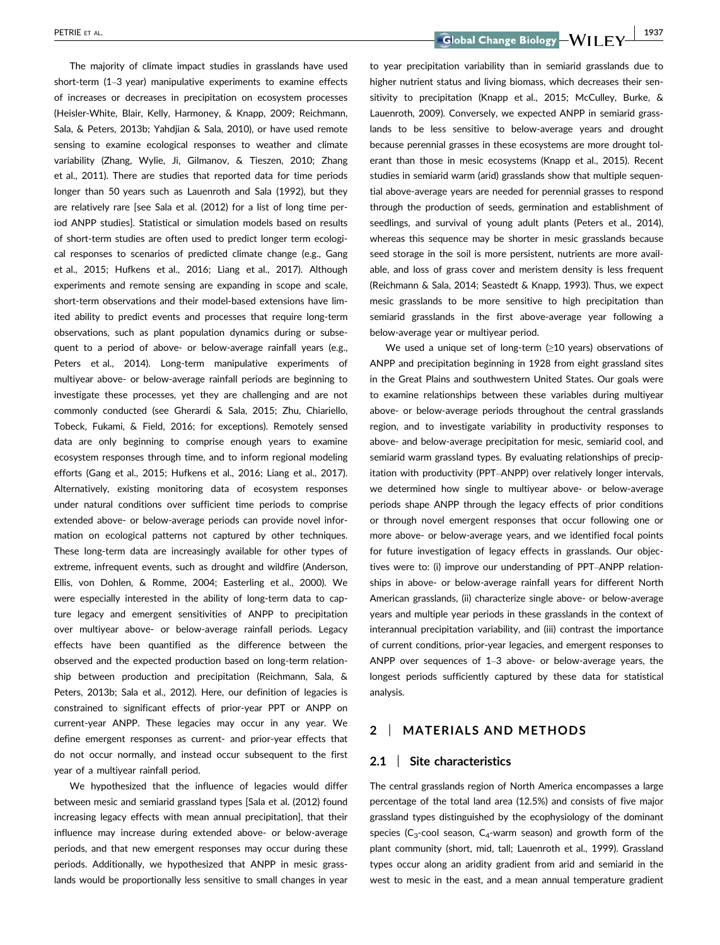The majority of climate impact studies in grasslands have used short-term (1–3 year) manipulative experiments to examine effects of increases or decreases in precipitation on ecosystem processes (Heisler-White, Blair, Kelly, Harmoney, & Knapp, 2009; Reichmann, Sala, & Peters, 2013b; Yahdjian & Sala, 2010), or have used remote sensing to examine ecological responses to weather and climate variability (Zhang, Wylie, Ji, Gilmanov, & Tieszen, 2010; Zhang et al., 2011). There are studies that reported data for time periods longer than 50 years such as Lauenroth and Sala (1992), but they are relatively rare [see Sala et al. (2012) for a list of long time period ANPP studies]. Statistical or simulation models based on results of short-term studies are often used to predict longer term ecological responses to scenarios of predicted climate change (e.g., Gang et al., 2015; Hufkens et al., 2016; Liang et al., 2017). Although experiments and remote sensing are expanding in scope and scale, short-term observations and their model-based extensions have limited ability to predict events and processes that require long-term observations, such as plant population dynamics during or subsequent to a period of above- or below-average rainfall years (e.g., Peters et al., 2014). Long-term manipulative experiments of multiyear above- or below-average rainfall periods are beginning to investigate these processes, yet they are challenging and are not commonly conducted (see Gherardi & Sala, 2015; Zhu, Chiariello, Tobeck, Fukami, & Field, 2016; for exceptions). Remotely sensed data are only beginning to comprise enough years to examine ecosystem responses through time, and to inform regional modeling efforts (Gang et al., 2015; Hufkens et al., 2016; Liang et al., 2017). Alternatively, existing monitoring data of ecosystem responses under natural conditions over sufficient time periods to comprise extended above- or below-average periods can provide novel information on ecological patterns not captured by other techniques. These long-term data are increasingly available for other types of extreme, infrequent events, such as drought and wildfire (Anderson, Ellis, von Dohlen, & Romme, 2004; Easterling et al., 2000). We were especially interested in the ability of long-term data to capture legacy and emergent sensitivities of ANPP to precipitation over multiyear above- or below-average rainfall periods. Legacy effects have been quantified as the difference between the observed and the expected production based on long-term relationship between production and precipitation (Reichmann, Sala, & Peters, 2013b; Sala et al., 2012). Here, our definition of legacies is constrained to significant effects of prior-year PPT or ANPP on current-year ANPP. These legacies may occur in any year. We define emergent responses as current- and prior-year effects that do not occur normally, and instead occur subsequent to the first year of a multiyear rainfall period.

We hypothesized that the influence of legacies would differ between mesic and semiarid grassland types [Sala et al. (2012) found increasing legacy effects with mean annual precipitation], that their influence may increase during extended above- or below-average periods, and that new emergent responses may occur during these periods. Additionally, we hypothesized that ANPP in mesic grasslands would be proportionally less sensitive to small changes in year

PETRIE ET AL. 1937<br> **Coloral Change Biology — WII FY** 1937

to year precipitation variability than in semiarid grasslands due to higher nutrient status and living biomass, which decreases their sensitivity to precipitation (Knapp et al., 2015; McCulley, Burke, & Lauenroth, 2009). Conversely, we expected ANPP in semiarid grasslands to be less sensitive to below-average years and drought because perennial grasses in these ecosystems are more drought tolerant than those in mesic ecosystems (Knapp et al., 2015). Recent studies in semiarid warm (arid) grasslands show that multiple sequential above-average years are needed for perennial grasses to respond through the production of seeds, germination and establishment of seedlings, and survival of young adult plants (Peters et al., 2014), whereas this sequence may be shorter in mesic grasslands because seed storage in the soil is more persistent, nutrients are more available, and loss of grass cover and meristem density is less frequent (Reichmann & Sala, 2014; Seastedt & Knapp, 1993). Thus, we expect mesic grasslands to be more sensitive to high precipitation than semiarid grasslands in the first above-average year following a below-average year or multiyear period.

We used a unique set of long-term (≥10 years) observations of ANPP and precipitation beginning in 1928 from eight grassland sites in the Great Plains and southwestern United States. Our goals were to examine relationships between these variables during multiyear above- or below-average periods throughout the central grasslands region, and to investigate variability in productivity responses to above- and below-average precipitation for mesic, semiarid cool, and semiarid warm grassland types. By evaluating relationships of precipitation with productivity (PPT–ANPP) over relatively longer intervals, we determined how single to multiyear above- or below-average periods shape ANPP through the legacy effects of prior conditions or through novel emergent responses that occur following one or more above- or below-average years, and we identified focal points for future investigation of legacy effects in grasslands. Our objectives were to: (i) improve our understanding of PPT–ANPP relationships in above- or below-average rainfall years for different North American grasslands, (ii) characterize single above- or below-average years and multiple year periods in these grasslands in the context of interannual precipitation variability, and (iii) contrast the importance of current conditions, prior-year legacies, and emergent responses to ANPP over sequences of 1–3 above- or below-average years, the longest periods sufficiently captured by these data for statistical analysis.

## 2 | MATERIALS AND METHODS

#### 2.1 | Site characteristics

The central grasslands region of North America encompasses a large percentage of the total land area (12.5%) and consists of five major grassland types distinguished by the ecophysiology of the dominant species ( $C_3$ -cool season,  $C_4$ -warm season) and growth form of the plant community (short, mid, tall; Lauenroth et al., 1999). Grassland types occur along an aridity gradient from arid and semiarid in the west to mesic in the east, and a mean annual temperature gradient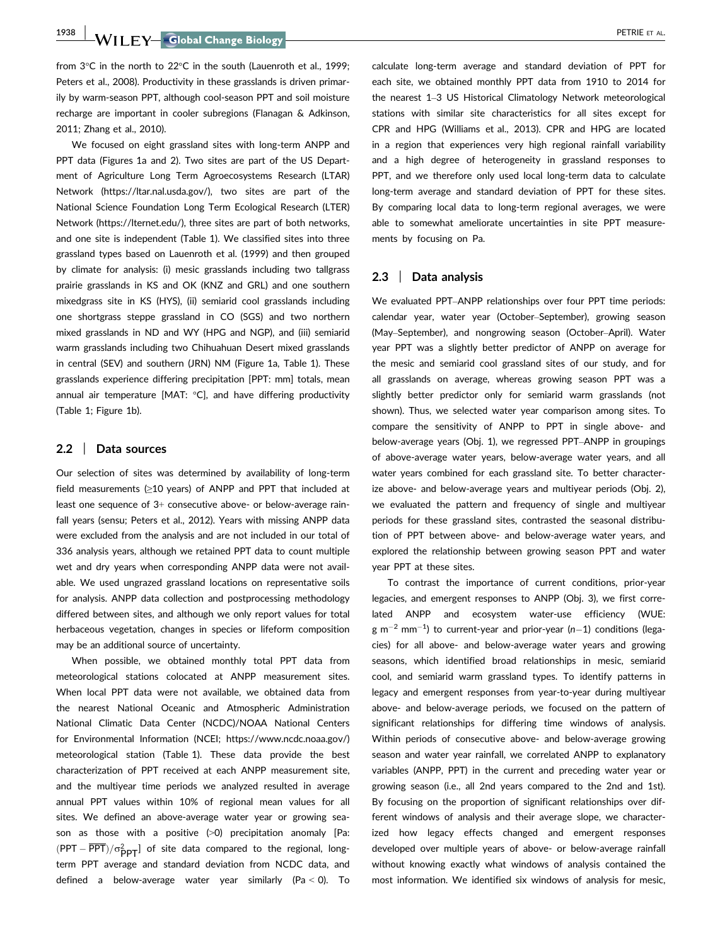1938 WII FY Global Change Biology **| Contract to the COVID-STAND OF ALL PETRIE ET AL.** 

from 3°C in the north to 22°C in the south (Lauenroth et al., 1999; Peters et al., 2008). Productivity in these grasslands is driven primarily by warm-season PPT, although cool-season PPT and soil moisture recharge are important in cooler subregions (Flanagan & Adkinson, 2011; Zhang et al., 2010).

We focused on eight grassland sites with long-term ANPP and PPT data (Figures 1a and 2). Two sites are part of the US Department of Agriculture Long Term Agroecosystems Research (LTAR) Network ([https://ltar.nal.usda.gov/\)](https://ltar.nal.usda.gov/), two sites are part of the National Science Foundation Long Term Ecological Research (LTER) Network ([https://lternet.edu/\)](https://lternet.edu/), three sites are part of both networks, and one site is independent (Table 1). We classified sites into three grassland types based on Lauenroth et al. (1999) and then grouped by climate for analysis: (i) mesic grasslands including two tallgrass prairie grasslands in KS and OK (KNZ and GRL) and one southern mixedgrass site in KS (HYS), (ii) semiarid cool grasslands including one shortgrass steppe grassland in CO (SGS) and two northern mixed grasslands in ND and WY (HPG and NGP), and (iii) semiarid warm grasslands including two Chihuahuan Desert mixed grasslands in central (SEV) and southern (JRN) NM (Figure 1a, Table 1). These grasslands experience differing precipitation [PPT: mm] totals, mean annual air temperature [MAT: °C], and have differing productivity (Table 1; Figure 1b).

#### 2.2 | Data sources

Our selection of sites was determined by availability of long-term field measurements (≥10 years) of ANPP and PPT that included at least one sequence of 3+ consecutive above- or below-average rainfall years (sensu; Peters et al., 2012). Years with missing ANPP data were excluded from the analysis and are not included in our total of 336 analysis years, although we retained PPT data to count multiple wet and dry years when corresponding ANPP data were not available. We used ungrazed grassland locations on representative soils for analysis. ANPP data collection and postprocessing methodology differed between sites, and although we only report values for total herbaceous vegetation, changes in species or lifeform composition may be an additional source of uncertainty.

When possible, we obtained monthly total PPT data from meteorological stations colocated at ANPP measurement sites. When local PPT data were not available, we obtained data from the nearest National Oceanic and Atmospheric Administration National Climatic Data Center (NCDC)/NOAA National Centers for Environmental Information (NCEI;<https://www.ncdc.noaa.gov/>) meteorological station (Table 1). These data provide the best characterization of PPT received at each ANPP measurement site, and the multiyear time periods we analyzed resulted in average annual PPT values within 10% of regional mean values for all sites. We defined an above-average water year or growing season as those with a positive  $(>0)$  precipitation anomaly [Pa:  $(PPT - \overline{PPT}) / \sigma^2_{PPT}$  of site data compared to the regional, longterm PPT average and standard deviation from NCDC data, and defined a below-average water year similarly (Pa  $<$  0). To calculate long-term average and standard deviation of PPT for each site, we obtained monthly PPT data from 1910 to 2014 for the nearest 1–3 US Historical Climatology Network meteorological stations with similar site characteristics for all sites except for CPR and HPG (Williams et al., 2013). CPR and HPG are located in a region that experiences very high regional rainfall variability and a high degree of heterogeneity in grassland responses to PPT, and we therefore only used local long-term data to calculate long-term average and standard deviation of PPT for these sites. By comparing local data to long-term regional averages, we were able to somewhat ameliorate uncertainties in site PPT measurements by focusing on Pa.

### 2.3 | Data analysis

We evaluated PPT–ANPP relationships over four PPT time periods: calendar year, water year (October–September), growing season (May–September), and nongrowing season (October–April). Water year PPT was a slightly better predictor of ANPP on average for the mesic and semiarid cool grassland sites of our study, and for all grasslands on average, whereas growing season PPT was a slightly better predictor only for semiarid warm grasslands (not shown). Thus, we selected water year comparison among sites. To compare the sensitivity of ANPP to PPT in single above- and below-average years (Obj. 1), we regressed PPT–ANPP in groupings of above-average water years, below-average water years, and all water years combined for each grassland site. To better characterize above- and below-average years and multiyear periods (Obj. 2), we evaluated the pattern and frequency of single and multiyear periods for these grassland sites, contrasted the seasonal distribution of PPT between above- and below-average water years, and explored the relationship between growing season PPT and water year PPT at these sites.

To contrast the importance of current conditions, prior-year legacies, and emergent responses to ANPP (Obj. 3), we first correlated ANPP and ecosystem water-use efficiency (WUE:  $g$  m $^{-2}$  mm $^{-1}$ ) to current-year and prior-year (n-1) conditions (legacies) for all above- and below-average water years and growing seasons, which identified broad relationships in mesic, semiarid cool, and semiarid warm grassland types. To identify patterns in legacy and emergent responses from year-to-year during multiyear above- and below-average periods, we focused on the pattern of significant relationships for differing time windows of analysis. Within periods of consecutive above- and below-average growing season and water year rainfall, we correlated ANPP to explanatory variables (ANPP, PPT) in the current and preceding water year or growing season (i.e., all 2nd years compared to the 2nd and 1st). By focusing on the proportion of significant relationships over different windows of analysis and their average slope, we characterized how legacy effects changed and emergent responses developed over multiple years of above- or below-average rainfall without knowing exactly what windows of analysis contained the most information. We identified six windows of analysis for mesic,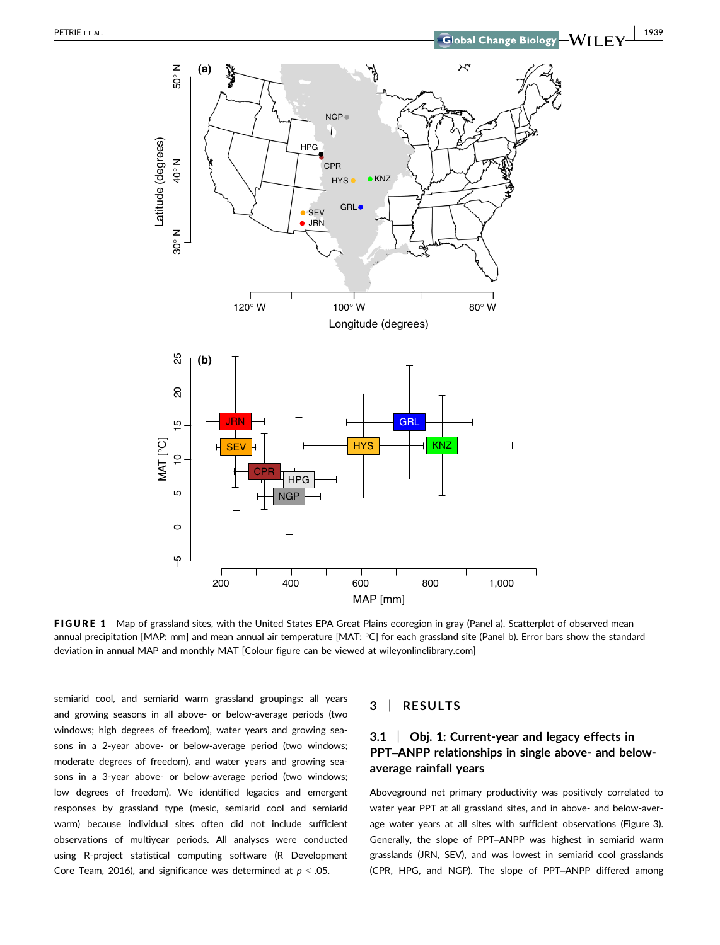

FIGURE 1 Map of grassland sites, with the United States EPA Great Plains ecoregion in gray (Panel a). Scatterplot of observed mean annual precipitation [MAP: mm] and mean annual air temperature [MAT: °C] for each grassland site (Panel b). Error bars show the standard deviation in annual MAP and monthly MAT [Colour figure can be viewed at wileyonlinelibrary.com]

semiarid cool, and semiarid warm grassland groupings: all years and growing seasons in all above- or below-average periods (two windows; high degrees of freedom), water years and growing seasons in a 2-year above- or below-average period (two windows; moderate degrees of freedom), and water years and growing seasons in a 3-year above- or below-average period (two windows; low degrees of freedom). We identified legacies and emergent responses by grassland type (mesic, semiarid cool and semiarid warm) because individual sites often did not include sufficient observations of multiyear periods. All analyses were conducted using R-project statistical computing software (R Development Core Team, 2016), and significance was determined at  $p < .05$ .

# 3 | RESULTS

# 3.1 | Obj. 1: Current-year and legacy effects in PPT–ANPP relationships in single above- and belowaverage rainfall years

Aboveground net primary productivity was positively correlated to water year PPT at all grassland sites, and in above- and below-average water years at all sites with sufficient observations (Figure 3). Generally, the slope of PPT–ANPP was highest in semiarid warm grasslands (JRN, SEV), and was lowest in semiarid cool grasslands (CPR, HPG, and NGP). The slope of PPT–ANPP differed among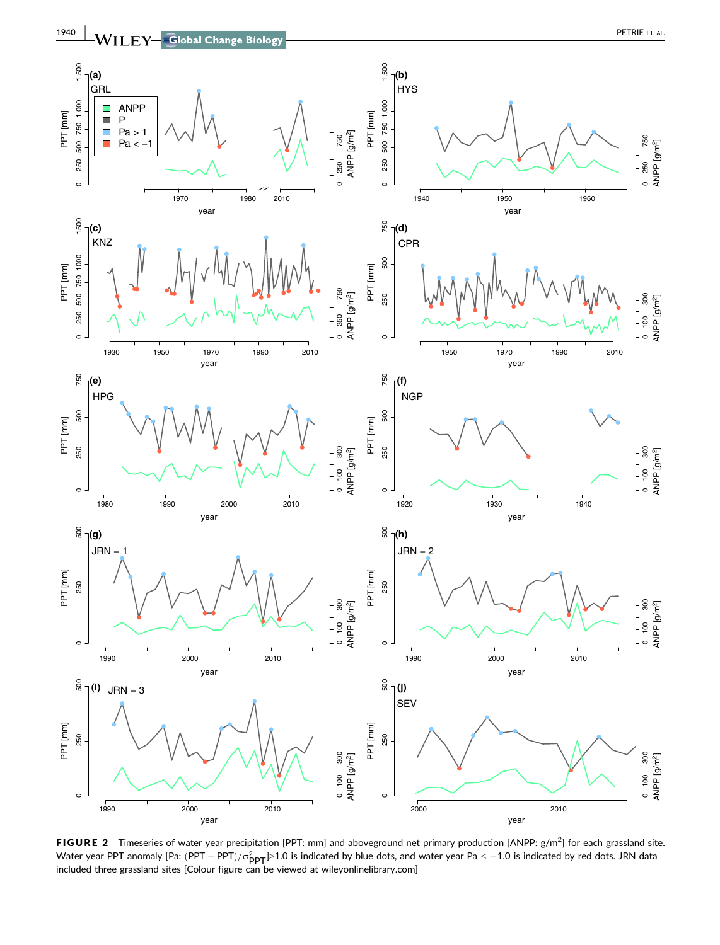

**FIGURE 2** Timeseries of water year precipitation [PPT: mm] and aboveground net primary production [ANPP:  $g/m^2$ ] for each grassland site. Water year PPT anomaly [Pa: (PPT —  $\overline{\mathrm{PPT}})/\sigma^2_{\mathrm{PPT}}$ ]>1.0 is indicated by blue dots, and water year Pa < —1.0 is indicated by red dots. JRN data<br>included three grassland sites [Colour figure can be viewed at wileyonl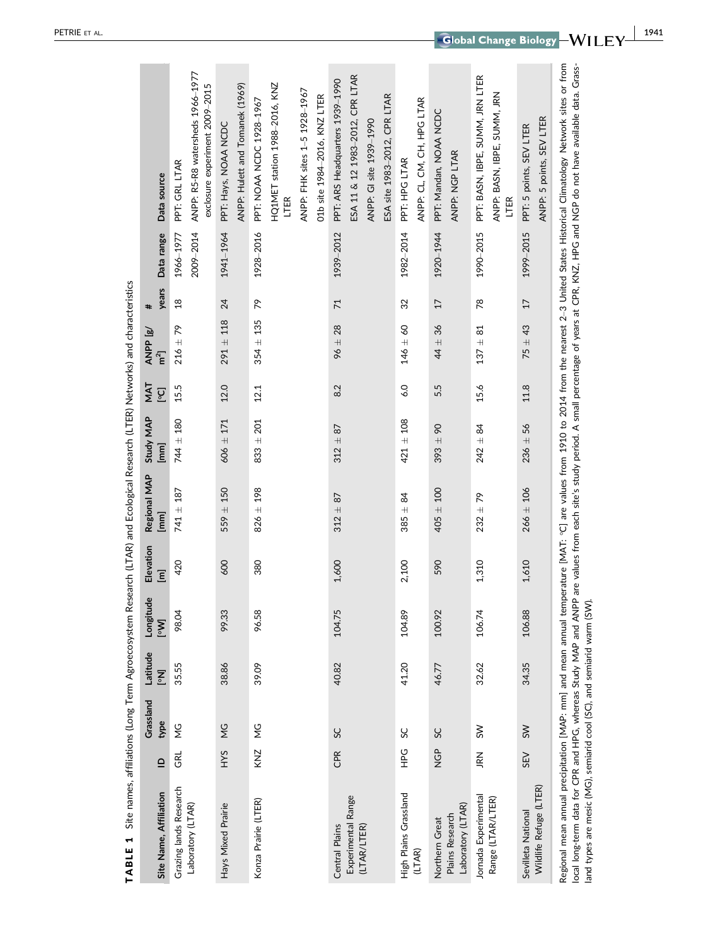| Site Name, Affiliation               | $\mathbf{r}$   | Grassland<br>type  | Latitude<br>$\overline{\mathbf{N}}$ | Longitude<br>[Mo] | Elevation<br>$\overline{E}$ | Regional MAP<br>[mm] | Study MAP<br>[mm] | <b>NAT</b><br><b>D</b> °l | ANPP [g/<br>m <sup>2</sup> | years<br>#     | Data range | Data source                                                                                                                                                                                                                                                                                                                                                                                           |
|--------------------------------------|----------------|--------------------|-------------------------------------|-------------------|-----------------------------|----------------------|-------------------|---------------------------|----------------------------|----------------|------------|-------------------------------------------------------------------------------------------------------------------------------------------------------------------------------------------------------------------------------------------------------------------------------------------------------------------------------------------------------------------------------------------------------|
| Grazing lands Research               | GRL            | ς<br>Σ             | 35.55                               | 98.04             | 420                         | $741 + 187$          | $744 \pm 180$     | 15.5                      | $216 \pm 79$               | $\frac{8}{18}$ | 1966-1977  | PPT: GRL LTAR                                                                                                                                                                                                                                                                                                                                                                                         |
| Laboratory (LTAR)                    |                |                    |                                     |                   |                             |                      |                   |                           |                            |                | 2009-2014  | ANPP: R5-R8 watersheds 1966-1977<br>exclosure experiment 2009-2015                                                                                                                                                                                                                                                                                                                                    |
| Hays Mixed Prairie                   | <b>SAH</b>     | $\frac{c}{\Sigma}$ | 38.86                               | 99.33             | 600                         | ± 150<br>559         | $606 \pm 171$     | 12.0                      | $291 \pm 118$              | 24             | 1941-1964  | PPT: Hays, NOAA NCDC                                                                                                                                                                                                                                                                                                                                                                                  |
|                                      |                |                    |                                     |                   |                             |                      |                   |                           |                            |                |            | ANPP: Hulett and Tomanek (1969)                                                                                                                                                                                                                                                                                                                                                                       |
| Konza Prairie (LTER)                 | KNZ            | ς<br>Σ             | 39.09                               | 96.58             | 380                         | $826 \pm 198$        | $833 \pm 201$     | 12.1                      | $354 \pm 135$              | ጽ              | 1928-2016  | PPT: NOAA NCDC 1928-1967                                                                                                                                                                                                                                                                                                                                                                              |
|                                      |                |                    |                                     |                   |                             |                      |                   |                           |                            |                |            | HQ1MET station 1988-2016, KNZ<br>LTER                                                                                                                                                                                                                                                                                                                                                                 |
|                                      |                |                    |                                     |                   |                             |                      |                   |                           |                            |                |            | ANPP: FHK sites 1-5 1928-1967                                                                                                                                                                                                                                                                                                                                                                         |
|                                      |                |                    |                                     |                   |                             |                      |                   |                           |                            |                |            | 01b site 1984-2016, KNZ LTER                                                                                                                                                                                                                                                                                                                                                                          |
| Central Plains                       | CPR            | SC                 | 40.82                               | 104.75            | 1,600                       | $312 + 87$           | $312 + 87$        | 8.2                       | $96 \pm 28$                | $\overline{7}$ | 1939-2012  | PPT: ARS Headquarters 1939-1990                                                                                                                                                                                                                                                                                                                                                                       |
| Experimental Range<br>(LTAR/LTER)    |                |                    |                                     |                   |                             |                      |                   |                           |                            |                |            | ESA 11 & 12 1983-2012, CPR LTAR                                                                                                                                                                                                                                                                                                                                                                       |
|                                      |                |                    |                                     |                   |                             |                      |                   |                           |                            |                |            | ANPP: GI site 1939-1990                                                                                                                                                                                                                                                                                                                                                                               |
|                                      |                |                    |                                     |                   |                             |                      |                   |                           |                            |                |            | ESA site 1983-2012, CPR LTAR                                                                                                                                                                                                                                                                                                                                                                          |
| High Plains Grassland                | C<br>H         | SC                 | 41.20                               | 104.89            | 2,100                       | $385 + 84$           | $421 \pm 108$     | 6.0                       | $146 \pm 60$               | 32             | 1982-2014  | PPT: HPG LTAR                                                                                                                                                                                                                                                                                                                                                                                         |
| (LTAR)                               |                |                    |                                     |                   |                             |                      |                   |                           |                            |                |            | ANPP: CL, CM, CH, HPG LTAR                                                                                                                                                                                                                                                                                                                                                                            |
| Northern Great                       | GP<br>Z        | SC                 | 46.77                               | 100.92            | 590                         | $405 + 100$          | $393 + 90$        | 5.5                       | $44 \pm 36$                | 17             | 1920-1944  | PPT: Mandan, NOAA NCDC                                                                                                                                                                                                                                                                                                                                                                                |
| Laboratory (LTAR)<br>Plains Research |                |                    |                                     |                   |                             |                      |                   |                           |                            |                |            | ANPP: NGP LTAR                                                                                                                                                                                                                                                                                                                                                                                        |
| Jornada Experimental                 | R <sub>K</sub> | $\gtrsim$          | 32.62                               | 106.74            | 1,310                       | $232 + 79$           | $242 + 84$        | 15.6                      | $137 + 81$                 | 78             | 1990-2015  | PPT: BASN, IBPE, SUMM, JRN LTER                                                                                                                                                                                                                                                                                                                                                                       |
| Range (LTAR/LTER)                    |                |                    |                                     |                   |                             |                      |                   |                           |                            |                |            | ANPP: BASN, IBPE, SUMM, JRN<br>LTER                                                                                                                                                                                                                                                                                                                                                                   |
| Sevilleta National                   | SEV            | SW                 | 34.35                               | 106.88            | 1,610                       | $266 \pm 106$        | $236 \pm 56$      | 11.8                      | $75 + 43$                  | 17             | 1999-2015  | PPT: 5 points, SEV LTER                                                                                                                                                                                                                                                                                                                                                                               |
| Wildlife Refuge (LTER)               |                |                    |                                     |                   |                             |                      |                   |                           |                            |                |            | ANPP: 5 points, SEV LTER                                                                                                                                                                                                                                                                                                                                                                              |
|                                      |                |                    |                                     |                   |                             |                      |                   |                           |                            |                |            | Regional mean annual precipitation [MAP: mm] and mean annual temperature [MAT: °C] are values from 1910 to 2014 from the nearest 2-3 United States Historical Climatology Network sites or from<br>local long-term data for CPR and HPG, whereas Study MAP and ANPP are values from each site's study period. A small percentage of years at CPR, KNZ, HPG and NGP do not have available data. Grass- |

TABLE 1 Site names, affiliations (Long Term Agroecosystem Research (LTAR) and Ecological Research (LTER) Networks) and characteristics TABLE 1 Site names, affiliations (Long Term Agroecosystem Research (LTAR) and Ecological Research (LTER) Networks) and characteristics

land types are mesic (MG), semiarid cool (SC), and semiarid warm (SW).

land types are mesic (MG), semiarid cool (SC), and semiarid warm (SW).

| 1941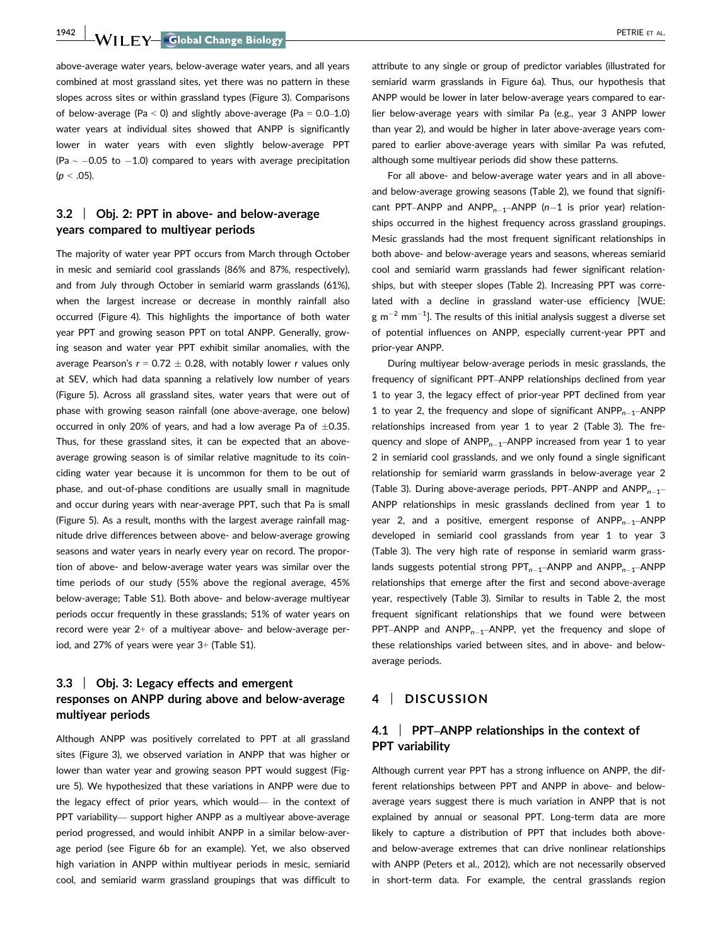1942 WII FY Global Change Biology **Communication of the Contract Office AL.** 

above-average water years, below-average water years, and all years combined at most grassland sites, yet there was no pattern in these slopes across sites or within grassland types (Figure 3). Comparisons of below-average (Pa  $\leq$  0) and slightly above-average (Pa = 0.0–1.0) water years at individual sites showed that ANPP is significantly lower in water years with even slightly below-average PPT (Pa  $\sim$  -0.05 to -1.0) compared to years with average precipitation  $(p < .05)$ .

# 3.2 | Obj. 2: PPT in above- and below-average years compared to multiyear periods

The majority of water year PPT occurs from March through October in mesic and semiarid cool grasslands (86% and 87%, respectively), and from July through October in semiarid warm grasslands (61%), when the largest increase or decrease in monthly rainfall also occurred (Figure 4). This highlights the importance of both water year PPT and growing season PPT on total ANPP. Generally, growing season and water year PPT exhibit similar anomalies, with the average Pearson's  $r = 0.72 \pm 0.28$ , with notably lower r values only at SEV, which had data spanning a relatively low number of years (Figure 5). Across all grassland sites, water years that were out of phase with growing season rainfall (one above-average, one below) occurred in only 20% of years, and had a low average Pa of  $\pm 0.35$ . Thus, for these grassland sites, it can be expected that an aboveaverage growing season is of similar relative magnitude to its coinciding water year because it is uncommon for them to be out of phase, and out-of-phase conditions are usually small in magnitude and occur during years with near-average PPT, such that Pa is small (Figure 5). As a result, months with the largest average rainfall magnitude drive differences between above- and below-average growing seasons and water years in nearly every year on record. The proportion of above- and below-average water years was similar over the time periods of our study (55% above the regional average, 45% below-average; Table S1). Both above- and below-average multiyear periods occur frequently in these grasslands; 51% of water years on record were year 2+ of a multiyear above- and below-average period, and 27% of years were year 3+ (Table S1).

# 3.3 | Obj. 3: Legacy effects and emergent responses on ANPP during above and below-average multiyear periods

Although ANPP was positively correlated to PPT at all grassland sites (Figure 3), we observed variation in ANPP that was higher or lower than water year and growing season PPT would suggest (Figure 5). We hypothesized that these variations in ANPP were due to the legacy effect of prior years, which would— in the context of PPT variability— support higher ANPP as a multiyear above-average period progressed, and would inhibit ANPP in a similar below-average period (see Figure 6b for an example). Yet, we also observed high variation in ANPP within multiyear periods in mesic, semiarid cool, and semiarid warm grassland groupings that was difficult to

attribute to any single or group of predictor variables (illustrated for semiarid warm grasslands in Figure 6a). Thus, our hypothesis that ANPP would be lower in later below-average years compared to earlier below-average years with similar Pa (e.g., year 3 ANPP lower than year 2), and would be higher in later above-average years compared to earlier above-average years with similar Pa was refuted, although some multiyear periods did show these patterns.

For all above- and below-average water years and in all aboveand below-average growing seasons (Table 2), we found that significant PPT–ANPP and ANPP $_{n-1}$ –ANPP (n-1 is prior year) relationships occurred in the highest frequency across grassland groupings. Mesic grasslands had the most frequent significant relationships in both above- and below-average years and seasons, whereas semiarid cool and semiarid warm grasslands had fewer significant relationships, but with steeper slopes (Table 2). Increasing PPT was correlated with a decline in grassland water-use efficiency [WUE:  $g$  m<sup>-2</sup> mm<sup>-1</sup>]. The results of this initial analysis suggest a diverse set of potential influences on ANPP, especially current-year PPT and prior-year ANPP.

During multiyear below-average periods in mesic grasslands, the frequency of significant PPT–ANPP relationships declined from year 1 to year 3, the legacy effect of prior-year PPT declined from year 1 to year 2, the frequency and slope of significant  $ANDP_{n-1}-ANDP$ relationships increased from year 1 to year 2 (Table 3). The frequency and slope of  $ANDP_{n-1}$ –ANPP increased from year 1 to year 2 in semiarid cool grasslands, and we only found a single significant relationship for semiarid warm grasslands in below-average year 2 (Table 3). During above-average periods, PPT–ANPP and ANPP $_{n-1}$ – ANPP relationships in mesic grasslands declined from year 1 to year 2, and a positive, emergent response of  $ANPP_{n-1}-ANDPP$ developed in semiarid cool grasslands from year 1 to year 3 (Table 3). The very high rate of response in semiarid warm grasslands suggests potential strong  $PPT_{n-1}$ –ANPP and ANPP<sub>n–1</sub>–ANPP relationships that emerge after the first and second above-average year, respectively (Table 3). Similar to results in Table 2, the most frequent significant relationships that we found were between PPT–ANPP and  $ANDP_{n-1}$ –ANPP, yet the frequency and slope of these relationships varied between sites, and in above- and belowaverage periods.

## 4 | DISCUSSION

## 4.1 | PPT–ANPP relationships in the context of PPT variability

Although current year PPT has a strong influence on ANPP, the different relationships between PPT and ANPP in above- and belowaverage years suggest there is much variation in ANPP that is not explained by annual or seasonal PPT. Long-term data are more likely to capture a distribution of PPT that includes both aboveand below-average extremes that can drive nonlinear relationships with ANPP (Peters et al., 2012), which are not necessarily observed in short-term data. For example, the central grasslands region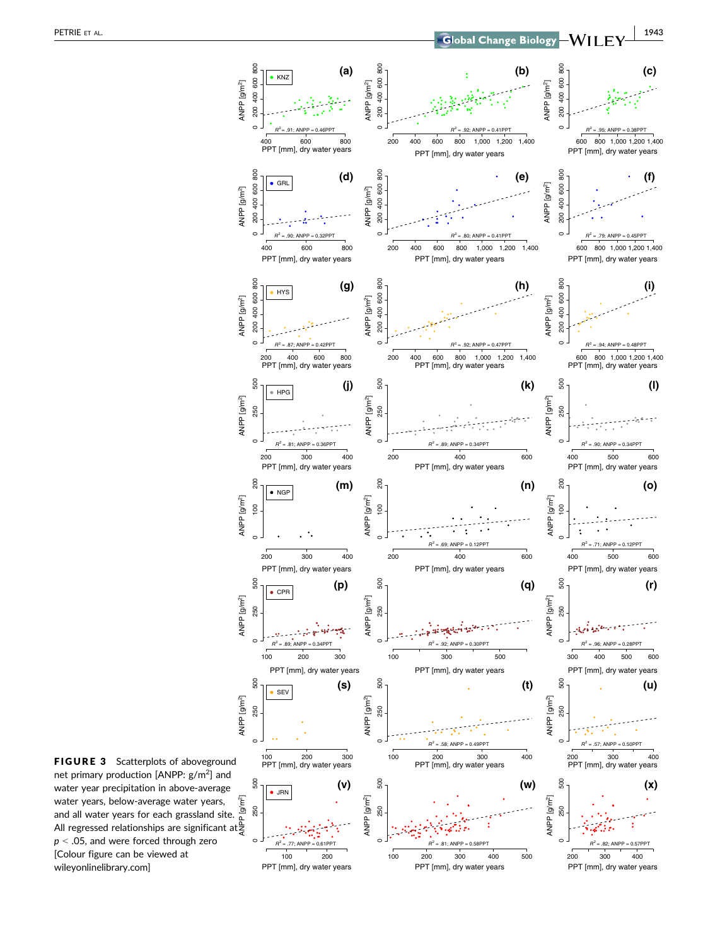

FIGURE 3 Scatterplots of aboveground net primary production [ANPP:  $g/m^2$ ] and water year precipitation in above-average water years, below-average water years, and all water years for each grassland site. All regressed relationships are significant at  $\frac{a}{5}$  $p < .05$ , and were forced through zero [Colour figure can be viewed at wileyonlinelibrary.com]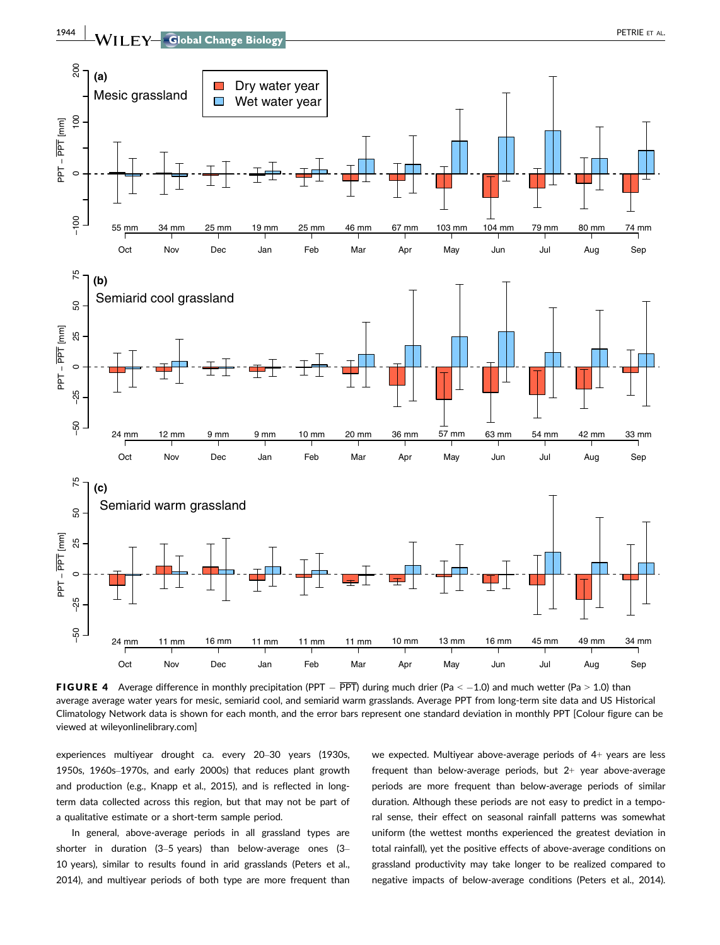

**FIGURE 4** Average difference in monthly precipitation (PPT  $-$  PPT) during much drier (Pa < -1.0) and much wetter (Pa > 1.0) than average average water years for mesic, semiarid cool, and semiarid warm grasslands. Average PPT from long-term site data and US Historical Climatology Network data is shown for each month, and the error bars represent one standard deviation in monthly PPT [Colour figure can be viewed at wileyonlinelibrary.com]

experiences multiyear drought ca. every 20–30 years (1930s, 1950s, 1960s–1970s, and early 2000s) that reduces plant growth and production (e.g., Knapp et al., 2015), and is reflected in longterm data collected across this region, but that may not be part of a qualitative estimate or a short-term sample period.

In general, above-average periods in all grassland types are shorter in duration (3–5 years) than below-average ones (3– 10 years), similar to results found in arid grasslands (Peters et al., 2014), and multiyear periods of both type are more frequent than we expected. Multiyear above-average periods of 4+ years are less frequent than below-average periods, but  $2+$  year above-average periods are more frequent than below-average periods of similar duration. Although these periods are not easy to predict in a temporal sense, their effect on seasonal rainfall patterns was somewhat uniform (the wettest months experienced the greatest deviation in total rainfall), yet the positive effects of above-average conditions on grassland productivity may take longer to be realized compared to negative impacts of below-average conditions (Peters et al., 2014).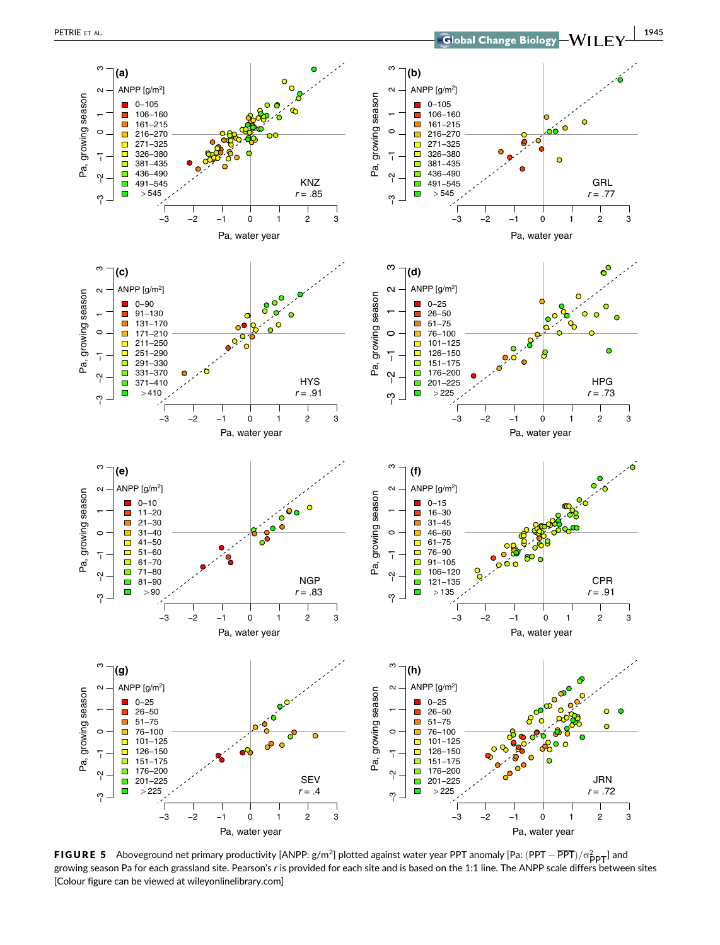

**FIGURE 5** Aboveground net primary productivity [ANPP:  $g/m^2$ ] plotted against water year PPT anomaly [Pa: (PPT –  $\overline{PPT}$ )/ $\sigma_{\text{PPT}}^2$ ] and growing season Pa for each grassland site. Pearson's r is provided for each site and is based on the 1:1 line. The ANPP scale differs between sites [Colour figure can be viewed at wileyonlinelibrary.com]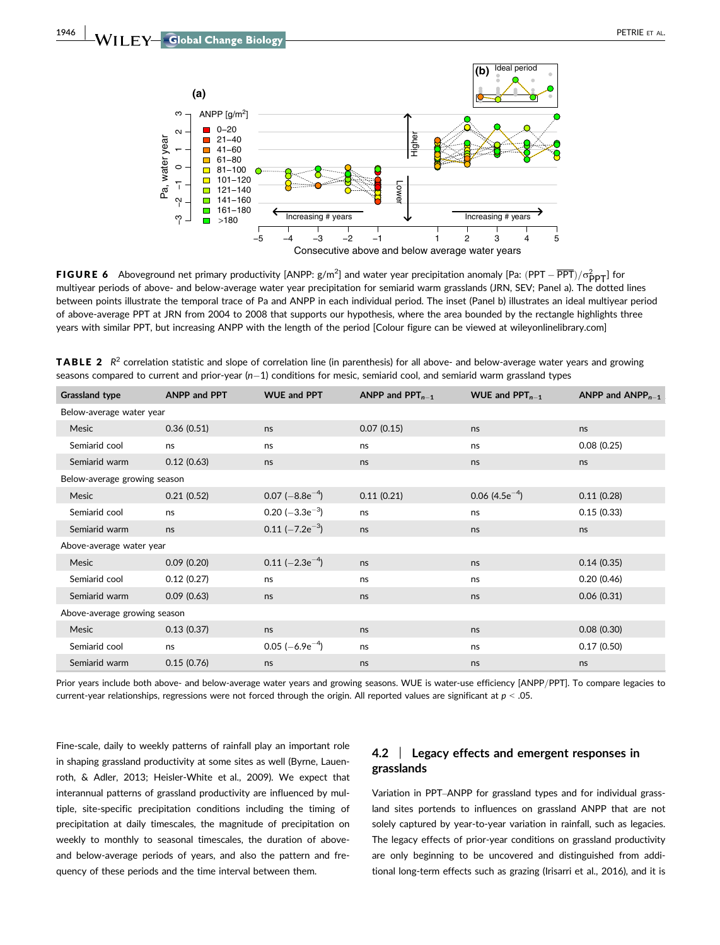

**FIGURE 6** Aboveground net primary productivity [ANPP:  $g/m^2$ ] and water year precipitation anomaly [Pa: (PPT –  $\overline{PPT}$ ) for  $\overline{PPT}$ ] for multiyear periods of above- and below-average water year precipitation for semiarid warm grasslands (JRN, SEV; Panel a). The dotted lines between points illustrate the temporal trace of Pa and ANPP in each individual period. The inset (Panel b) illustrates an ideal multiyear period of above-average PPT at JRN from 2004 to 2008 that supports our hypothesis, where the area bounded by the rectangle highlights three years with similar PPT, but increasing ANPP with the length of the period [Colour figure can be viewed at wileyonlinelibrary.com]

| <b>Grassland type</b>        | <b>ANPP and PPT</b> | <b>WUE and PPT</b>            | ANPP and $PPT_{n-1}$ | WUE and $PPT_{n-1}$ | ANPP and $ANPP_{n-1}$ |
|------------------------------|---------------------|-------------------------------|----------------------|---------------------|-----------------------|
| Below-average water year     |                     |                               |                      |                     |                       |
| Mesic                        | 0.36(0.51)          | ns                            | 0.07(0.15)           | ns                  | ns                    |
| Semiarid cool                | ns                  | ns                            | ns                   | ns                  | 0.08(0.25)            |
| Semiarid warm                | 0.12(0.63)          | ns                            | ns                   | ns                  | ns                    |
| Below-average growing season |                     |                               |                      |                     |                       |
| Mesic                        | 0.21(0.52)          | $0.07$ (-8.8e <sup>-4</sup> ) | 0.11(0.21)           | 0.06 $(4.5e^{-4})$  | 0.11(0.28)            |
| Semiarid cool                | ns                  | 0.20 $(-3.3e^{-3})$           | ns                   | ns                  | 0.15(0.33)            |
| Semiarid warm                | ns                  | $0.11$ (-7.2e <sup>-3</sup> ) | ns                   | ns                  | ns                    |
| Above-average water year     |                     |                               |                      |                     |                       |
| Mesic                        | 0.09(0.20)          | 0.11 $(-2.3e^{-4})$           | ns                   | ns                  | 0.14(0.35)            |
| Semiarid cool                | 0.12(0.27)          | ns                            | ns                   | ns                  | 0.20(0.46)            |
| Semiarid warm                | 0.09(0.63)          | ns                            | ns                   | ns                  | 0.06(0.31)            |
| Above-average growing season |                     |                               |                      |                     |                       |
| Mesic                        | 0.13(0.37)          | ns                            | ns                   | ns                  | 0.08(0.30)            |
| Semiarid cool                | ns                  | $0.05$ (-6.9e <sup>-4</sup> ) | ns                   | ns                  | 0.17(0.50)            |
| Semiarid warm                | 0.15(0.76)          | ns                            | ns                   | ns                  | ns                    |

**TABLE 2**  $R^2$  correlation statistic and slope of correlation line (in parenthesis) for all above- and below-average water years and growing seasons compared to current and prior-year ( $n-1$ ) conditions for mesic, semiarid cool, and semiarid warm grassland types

Prior years include both above- and below-average water years and growing seasons. WUE is water-use efficiency [ANPP/PPT]. To compare legacies to current-year relationships, regressions were not forced through the origin. All reported values are significant at  $p < .05$ .

Fine-scale, daily to weekly patterns of rainfall play an important role in shaping grassland productivity at some sites as well (Byrne, Lauenroth, & Adler, 2013; Heisler-White et al., 2009). We expect that interannual patterns of grassland productivity are influenced by multiple, site-specific precipitation conditions including the timing of precipitation at daily timescales, the magnitude of precipitation on weekly to monthly to seasonal timescales, the duration of aboveand below-average periods of years, and also the pattern and frequency of these periods and the time interval between them.

# 4.2 | Legacy effects and emergent responses in grasslands

Variation in PPT–ANPP for grassland types and for individual grassland sites portends to influences on grassland ANPP that are not solely captured by year-to-year variation in rainfall, such as legacies. The legacy effects of prior-year conditions on grassland productivity are only beginning to be uncovered and distinguished from additional long-term effects such as grazing (Irisarri et al., 2016), and it is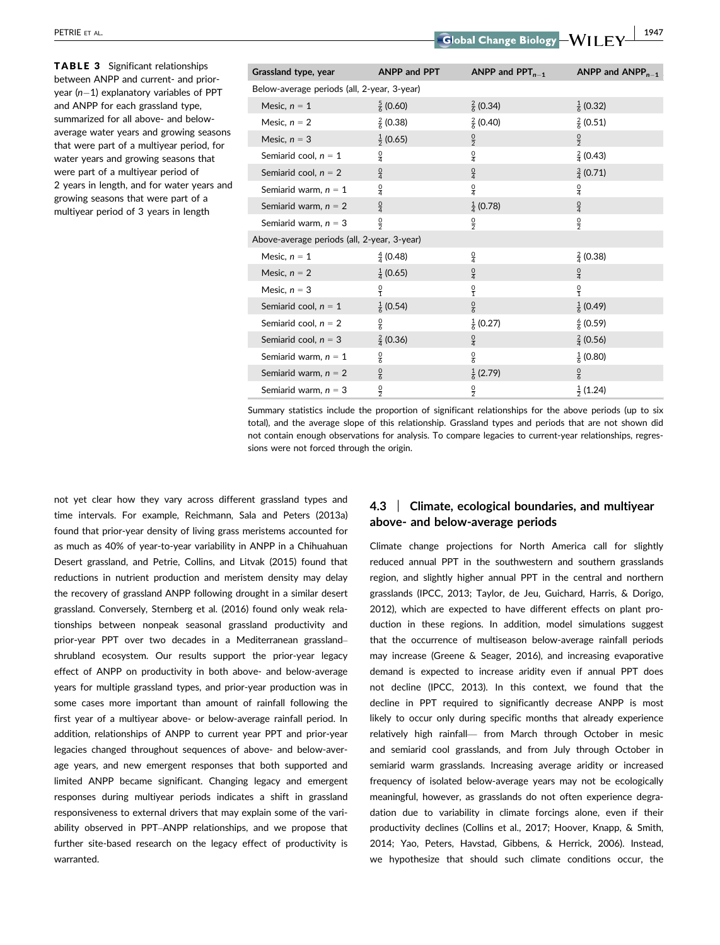TABLE 3 Significant relationships between ANPP and current- and prioryear  $(n-1)$  explanatory variables of PPT and ANPP for each grassland type, summarized for all above- and belowaverage water years and growing seasons that were part of a multiyear period, for water years and growing seasons that were part of a multiyear period of 2 years in length, and for water years and growing seasons that were part of a multiyear period of 3 years in length

| Grassland type, year                        | <b>ANPP and PPT</b>  | ANPP and $PPT_{n-1}$ | ANPP and $ANPP_{n-1}$ |
|---------------------------------------------|----------------------|----------------------|-----------------------|
| Below-average periods (all, 2-year, 3-year) |                      |                      |                       |
| Mesic, $n = 1$                              | $\frac{5}{6}$ (0.60) | $\frac{2}{6}$ (0.34) | $\frac{1}{6}$ (0.32)  |
| Mesic, $n = 2$                              | $\frac{2}{5}$ (0.38) | $\frac{2}{6}$ (0.40) | $\frac{2}{5}$ (0.51)  |
| Mesic, $n = 3$                              | $\frac{1}{2}$ (0.65) | $\frac{0}{2}$        | $\frac{0}{2}$         |
| Semiarid cool, $n = 1$                      | $\frac{0}{4}$        | $\frac{0}{4}$        | $\frac{2}{4}$ (0.43)  |
| Semiarid cool, $n = 2$                      | $\frac{0}{4}$        | $\frac{0}{4}$        | $\frac{3}{4}$ (0.71)  |
| Semiarid warm, $n = 1$                      | $\frac{0}{4}$        | $\frac{0}{4}$        | $\frac{0}{4}$         |
| Semiarid warm, $n = 2$                      | $\frac{0}{4}$        | $\frac{1}{4}$ (0.78) | $\frac{0}{4}$         |
| Semiarid warm, $n = 3$                      | $\frac{0}{2}$        | $\frac{0}{2}$        | $\frac{0}{2}$         |
| Above-average periods (all, 2-year, 3-year) |                      |                      |                       |
| Mesic, $n = 1$                              | $\frac{4}{4}$ (0.48) | $\frac{0}{4}$        | $\frac{2}{4}$ (0.38)  |
| Mesic, $n = 2$                              | $\frac{1}{4}$ (0.65) | $\frac{0}{4}$        | $\frac{0}{4}$         |
| Mesic, $n = 3$                              | $\frac{0}{1}$        | $\frac{0}{1}$        | $\frac{0}{1}$         |
| Semiarid cool, $n = 1$                      | $\frac{1}{6}$ (0.54) | $\frac{0}{6}$        | $\frac{1}{6}$ (0.49)  |
| Semiarid cool, $n = 2$                      | $\frac{0}{6}$        | $\frac{1}{6}$ (0.27) | $\frac{6}{5}$ (0.59)  |
| Semiarid cool, $n = 3$                      | $\frac{2}{4}$ (0.36) | $\frac{0}{4}$        | $\frac{2}{4}$ (0.56)  |
| Semiarid warm, $n = 1$                      | $\frac{0}{6}$        | $\frac{0}{6}$        | $\frac{1}{6}$ (0.80)  |
| Semiarid warm, $n = 2$                      | $\frac{0}{6}$        | $\frac{1}{6}$ (2.79) | $\frac{0}{6}$         |
| Semiarid warm, $n = 3$                      | $\frac{0}{2}$        | $\frac{0}{2}$        | $\frac{1}{2}$ (1.24)  |

Summary statistics include the proportion of significant relationships for the above periods (up to six total), and the average slope of this relationship. Grassland types and periods that are not shown did not contain enough observations for analysis. To compare legacies to current-year relationships, regressions were not forced through the origin.

not yet clear how they vary across different grassland types and time intervals. For example, Reichmann, Sala and Peters (2013a) found that prior-year density of living grass meristems accounted for as much as 40% of year-to-year variability in ANPP in a Chihuahuan Desert grassland, and Petrie, Collins, and Litvak (2015) found that reductions in nutrient production and meristem density may delay the recovery of grassland ANPP following drought in a similar desert grassland. Conversely, Sternberg et al. (2016) found only weak relationships between nonpeak seasonal grassland productivity and prior-year PPT over two decades in a Mediterranean grassland– shrubland ecosystem. Our results support the prior-year legacy effect of ANPP on productivity in both above- and below-average years for multiple grassland types, and prior-year production was in some cases more important than amount of rainfall following the first year of a multiyear above- or below-average rainfall period. In addition, relationships of ANPP to current year PPT and prior-year legacies changed throughout sequences of above- and below-average years, and new emergent responses that both supported and limited ANPP became significant. Changing legacy and emergent responses during multiyear periods indicates a shift in grassland responsiveness to external drivers that may explain some of the variability observed in PPT–ANPP relationships, and we propose that further site-based research on the legacy effect of productivity is warranted.

# 4.3 | Climate, ecological boundaries, and multiyear above- and below-average periods

Climate change projections for North America call for slightly reduced annual PPT in the southwestern and southern grasslands region, and slightly higher annual PPT in the central and northern grasslands (IPCC, 2013; Taylor, de Jeu, Guichard, Harris, & Dorigo, 2012), which are expected to have different effects on plant production in these regions. In addition, model simulations suggest that the occurrence of multiseason below-average rainfall periods may increase (Greene & Seager, 2016), and increasing evaporative demand is expected to increase aridity even if annual PPT does not decline (IPCC, 2013). In this context, we found that the decline in PPT required to significantly decrease ANPP is most likely to occur only during specific months that already experience relatively high rainfall— from March through October in mesic and semiarid cool grasslands, and from July through October in semiarid warm grasslands. Increasing average aridity or increased frequency of isolated below-average years may not be ecologically meaningful, however, as grasslands do not often experience degradation due to variability in climate forcings alone, even if their productivity declines (Collins et al., 2017; Hoover, Knapp, & Smith, 2014; Yao, Peters, Havstad, Gibbens, & Herrick, 2006). Instead, we hypothesize that should such climate conditions occur, the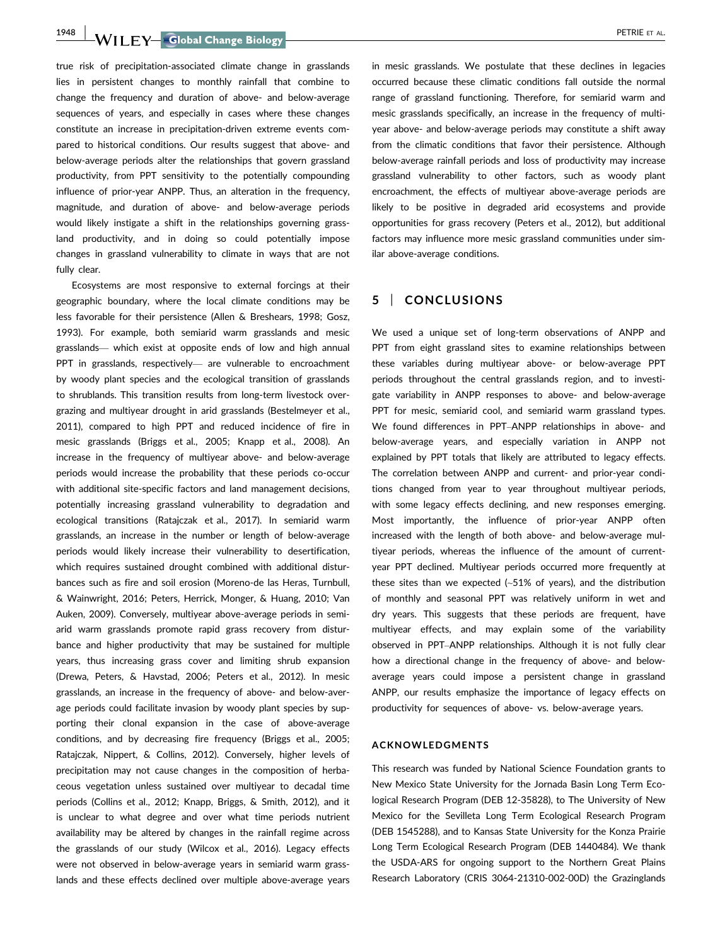1948 WII FY Global Change Biology **| Contract Contract Contract Contract Contract Contract Contract Contract Contract Contract Contract Contract Contract Contract Contract Contract Contract Contract Contract Contract Contr** 

true risk of precipitation-associated climate change in grasslands lies in persistent changes to monthly rainfall that combine to change the frequency and duration of above- and below-average sequences of years, and especially in cases where these changes constitute an increase in precipitation-driven extreme events compared to historical conditions. Our results suggest that above- and below-average periods alter the relationships that govern grassland productivity, from PPT sensitivity to the potentially compounding influence of prior-year ANPP. Thus, an alteration in the frequency, magnitude, and duration of above- and below-average periods would likely instigate a shift in the relationships governing grassland productivity, and in doing so could potentially impose changes in grassland vulnerability to climate in ways that are not fully clear.

Ecosystems are most responsive to external forcings at their geographic boundary, where the local climate conditions may be less favorable for their persistence (Allen & Breshears, 1998; Gosz, 1993). For example, both semiarid warm grasslands and mesic grasslands— which exist at opposite ends of low and high annual PPT in grasslands, respectively— are vulnerable to encroachment by woody plant species and the ecological transition of grasslands to shrublands. This transition results from long-term livestock overgrazing and multiyear drought in arid grasslands (Bestelmeyer et al., 2011), compared to high PPT and reduced incidence of fire in mesic grasslands (Briggs et al., 2005; Knapp et al., 2008). An increase in the frequency of multiyear above- and below-average periods would increase the probability that these periods co-occur with additional site-specific factors and land management decisions, potentially increasing grassland vulnerability to degradation and ecological transitions (Ratajczak et al., 2017). In semiarid warm grasslands, an increase in the number or length of below-average periods would likely increase their vulnerability to desertification, which requires sustained drought combined with additional disturbances such as fire and soil erosion (Moreno-de las Heras, Turnbull, & Wainwright, 2016; Peters, Herrick, Monger, & Huang, 2010; Van Auken, 2009). Conversely, multiyear above-average periods in semiarid warm grasslands promote rapid grass recovery from disturbance and higher productivity that may be sustained for multiple years, thus increasing grass cover and limiting shrub expansion (Drewa, Peters, & Havstad, 2006; Peters et al., 2012). In mesic grasslands, an increase in the frequency of above- and below-average periods could facilitate invasion by woody plant species by supporting their clonal expansion in the case of above-average conditions, and by decreasing fire frequency (Briggs et al., 2005; Ratajczak, Nippert, & Collins, 2012). Conversely, higher levels of precipitation may not cause changes in the composition of herbaceous vegetation unless sustained over multiyear to decadal time periods (Collins et al., 2012; Knapp, Briggs, & Smith, 2012), and it is unclear to what degree and over what time periods nutrient availability may be altered by changes in the rainfall regime across the grasslands of our study (Wilcox et al., 2016). Legacy effects were not observed in below-average years in semiarid warm grasslands and these effects declined over multiple above-average years

in mesic grasslands. We postulate that these declines in legacies occurred because these climatic conditions fall outside the normal range of grassland functioning. Therefore, for semiarid warm and mesic grasslands specifically, an increase in the frequency of multiyear above- and below-average periods may constitute a shift away from the climatic conditions that favor their persistence. Although below-average rainfall periods and loss of productivity may increase grassland vulnerability to other factors, such as woody plant encroachment, the effects of multiyear above-average periods are likely to be positive in degraded arid ecosystems and provide opportunities for grass recovery (Peters et al., 2012), but additional factors may influence more mesic grassland communities under similar above-average conditions.

## 5 | CONCLUSIONS

We used a unique set of long-term observations of ANPP and PPT from eight grassland sites to examine relationships between these variables during multiyear above- or below-average PPT periods throughout the central grasslands region, and to investigate variability in ANPP responses to above- and below-average PPT for mesic, semiarid cool, and semiarid warm grassland types. We found differences in PPT–ANPP relationships in above- and below-average years, and especially variation in ANPP not explained by PPT totals that likely are attributed to legacy effects. The correlation between ANPP and current- and prior-year conditions changed from year to year throughout multiyear periods, with some legacy effects declining, and new responses emerging. Most importantly, the influence of prior-year ANPP often increased with the length of both above- and below-average multiyear periods, whereas the influence of the amount of currentyear PPT declined. Multiyear periods occurred more frequently at these sites than we expected (~51% of years), and the distribution of monthly and seasonal PPT was relatively uniform in wet and dry years. This suggests that these periods are frequent, have multiyear effects, and may explain some of the variability observed in PPT–ANPP relationships. Although it is not fully clear how a directional change in the frequency of above- and belowaverage years could impose a persistent change in grassland ANPP, our results emphasize the importance of legacy effects on productivity for sequences of above- vs. below-average years.

## ACKNOWLEDGMENTS

This research was funded by National Science Foundation grants to New Mexico State University for the Jornada Basin Long Term Ecological Research Program (DEB 12-35828), to The University of New Mexico for the Sevilleta Long Term Ecological Research Program (DEB 1545288), and to Kansas State University for the Konza Prairie Long Term Ecological Research Program (DEB 1440484). We thank the USDA-ARS for ongoing support to the Northern Great Plains Research Laboratory (CRIS 3064-21310-002-00D) the Grazinglands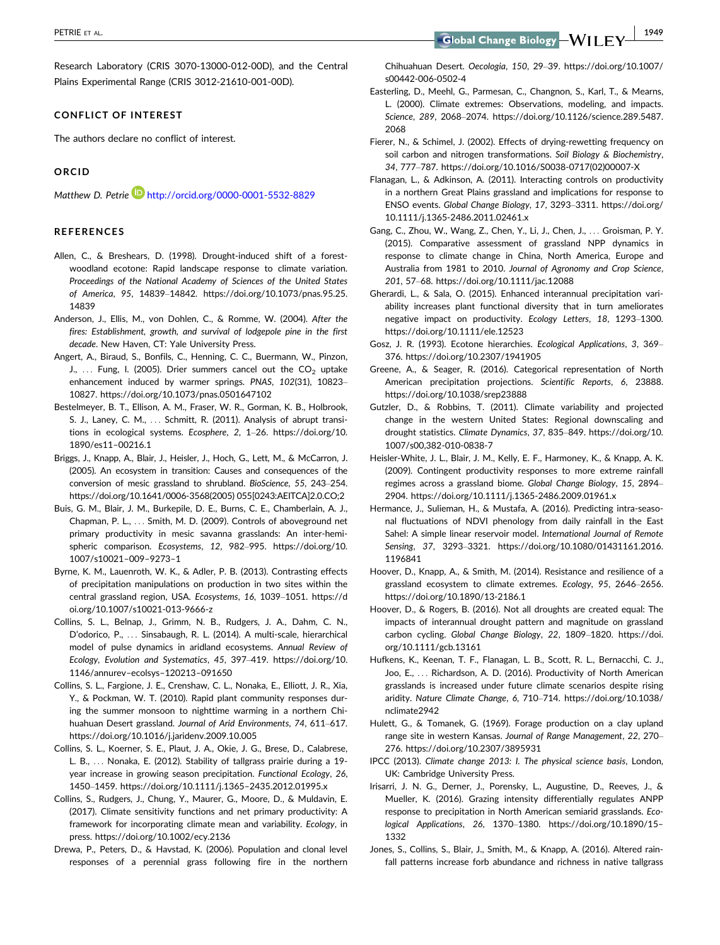Research Laboratory (CRIS 3070-13000-012-00D), and the Central Plains Experimental Range (CRIS 3012-21610-001-00D).

#### CONFLICT OF INTEREST

The authors declare no conflict of interest.

## ORCID

Matthew D. Petrie **http://orcid.org/0000-0001-5532-8829** 

#### REFERENCES

- Allen, C., & Breshears, D. (1998). Drought-induced shift of a forestwoodland ecotone: Rapid landscape response to climate variation. Proceedings of the National Academy of Sciences of the United States of America, 95, 14839–14842. [https://doi.org/10.1073/pnas.95.25.](https://doi.org/10.1073/pnas.95.25.14839) [14839](https://doi.org/10.1073/pnas.95.25.14839)
- Anderson, J., Ellis, M., von Dohlen, C., & Romme, W. (2004). After the fires: Establishment, growth, and survival of lodgepole pine in the first decade. New Haven, CT: Yale University Press.
- Angert, A., Biraud, S., Bonfils, C., Henning, C. C., Buermann, W., Pinzon, J., ... Fung, I. (2005). Drier summers cancel out the  $CO<sub>2</sub>$  uptake enhancement induced by warmer springs. PNAS, 102(31), 10823– 10827.<https://doi.org/10.1073/pnas.0501647102>
- Bestelmeyer, B. T., Ellison, A. M., Fraser, W. R., Gorman, K. B., Holbrook, S. J., Laney, C. M., ... Schmitt, R. (2011). Analysis of abrupt transitions in ecological systems. Ecosphere, 2, 1–26. [https://doi.org/10.](https://doi.org/10.1890/es11%e2%8000216.1) [1890/es11](https://doi.org/10.1890/es11%e2%8000216.1)–00216.1
- Briggs, J., Knapp, A., Blair, J., Heisler, J., Hoch, G., Lett, M., & McCarron, J. (2005). An ecosystem in transition: Causes and consequences of the conversion of mesic grassland to shrubland. BioScience, 55, 243–254. [https://doi.org/10.1641/0006-3568\(2005\) 055\[0243:AEITCA\]2.0.CO;2](https://doi.org/10.1641/0006-3568(2005) 055[0243:AEITCA]2.0.CO;2)
- Buis, G. M., Blair, J. M., Burkepile, D. E., Burns, C. E., Chamberlain, A. J., Chapman, P. L., ... Smith, M. D. (2009). Controls of aboveground net primary productivity in mesic savanna grasslands: An inter-hemispheric comparison. Ecosystems, 12, 982–995. [https://doi.org/10.](https://doi.org/10.1007/s10021%e2%80009%e2%809273%e2%801) [1007/s10021](https://doi.org/10.1007/s10021%e2%80009%e2%809273%e2%801)–009–9273–1
- Byrne, K. M., Lauenroth, W. K., & Adler, P. B. (2013). Contrasting effects of precipitation manipulations on production in two sites within the central grassland region, USA. Ecosystems, 16, 1039–1051. [https://d](https://doi.org/10.1007/s10021-013-9666-z) [oi.org/10.1007/s10021-013-9666-z](https://doi.org/10.1007/s10021-013-9666-z)
- Collins, S. L., Belnap, J., Grimm, N. B., Rudgers, J. A., Dahm, C. N., D'odorico, P., ... Sinsabaugh, R. L. (2014). A multi-scale, hierarchical model of pulse dynamics in aridland ecosystems. Annual Review of Ecology, Evolution and Systematics, 45, 397–419. [https://doi.org/10.](https://doi.org/10.1146/annurev%e2%80ecolsys%e2%80120213%e2%80091650) [1146/annurev](https://doi.org/10.1146/annurev%e2%80ecolsys%e2%80120213%e2%80091650)–ecolsys–120213–091650
- Collins, S. L., Fargione, J. E., Crenshaw, C. L., Nonaka, E., Elliott, J. R., Xia, Y., & Pockman, W. T. (2010). Rapid plant community responses during the summer monsoon to nighttime warming in a northern Chihuahuan Desert grassland. Journal of Arid Environments, 74, 611–617. <https://doi.org/10.1016/j.jaridenv.2009.10.005>
- Collins, S. L., Koerner, S. E., Plaut, J. A., Okie, J. G., Brese, D., Calabrese, L. B., ... Nonaka, E. (2012). Stability of tallgrass prairie during a 19 year increase in growing season precipitation. Functional Ecology, 26, 1450–1459. [https://doi.org/10.1111/j.1365](https://doi.org/10.1111/j.1365%e2%802435.2012.01995.x)–2435.2012.01995.x
- Collins, S., Rudgers, J., Chung, Y., Maurer, G., Moore, D., & Muldavin, E. (2017). Climate sensitivity functions and net primary productivity: A framework for incorporating climate mean and variability. Ecology, in press.<https://doi.org/10.1002/ecy.2136>
- Drewa, P., Peters, D., & Havstad, K. (2006). Population and clonal level responses of a perennial grass following fire in the northern

Chihuahuan Desert. Oecologia, 150, 29–39. [https://doi.org/10.1007/](https://doi.org/10.1007/s00442-006-0502-4) [s00442-006-0502-4](https://doi.org/10.1007/s00442-006-0502-4)

- Easterling, D., Meehl, G., Parmesan, C., Changnon, S., Karl, T., & Mearns, L. (2000). Climate extremes: Observations, modeling, and impacts. Science, 289, 2068–2074. [https://doi.org/10.1126/science.289.5487.](https://doi.org/10.1126/science.289.5487.2068) [2068](https://doi.org/10.1126/science.289.5487.2068)
- Fierer, N., & Schimel, J. (2002). Effects of drying-rewetting frequency on soil carbon and nitrogen transformations. Soil Biology & Biochemistry, 34, 777–787. [https://doi.org/10.1016/S0038-0717\(02\)00007-X](https://doi.org/10.1016/S0038-0717(02)00007-X)
- Flanagan, L., & Adkinson, A. (2011). Interacting controls on productivity in a northern Great Plains grassland and implications for response to ENSO events. Global Change Biology, 17, 3293–3311. [https://doi.org/](https://doi.org/10.1111/j.1365-2486.2011.02461.x) [10.1111/j.1365-2486.2011.02461.x](https://doi.org/10.1111/j.1365-2486.2011.02461.x)
- Gang, C., Zhou, W., Wang, Z., Chen, Y., Li, J., Chen, J., ... Groisman, P. Y. (2015). Comparative assessment of grassland NPP dynamics in response to climate change in China, North America, Europe and Australia from 1981 to 2010. Journal of Agronomy and Crop Science, 201, 57–68.<https://doi.org/10.1111/jac.12088>
- Gherardi, L., & Sala, O. (2015). Enhanced interannual precipitation variability increases plant functional diversity that in turn ameliorates negative impact on productivity. Ecology Letters, 18, 1293–1300. <https://doi.org/10.1111/ele.12523>
- Gosz, J. R. (1993). Ecotone hierarchies. Ecological Applications, 3, 369– 376.<https://doi.org/10.2307/1941905>
- Greene, A., & Seager, R. (2016). Categorical representation of North American precipitation projections. Scientific Reports, 6, 23888. <https://doi.org/10.1038/srep23888>
- Gutzler, D., & Robbins, T. (2011). Climate variability and projected change in the western United States: Regional downscaling and drought statistics. Climate Dynamics, 37, 835–849. [https://doi.org/10.](https://doi.org/10.1007/s00,382-010-0838-7) [1007/s00,382-010-0838-7](https://doi.org/10.1007/s00,382-010-0838-7)
- Heisler-White, J. L., Blair, J. M., Kelly, E. F., Harmoney, K., & Knapp, A. K. (2009). Contingent productivity responses to more extreme rainfall regimes across a grassland biome. Global Change Biology, 15, 2894– 2904.<https://doi.org/10.1111/j.1365-2486.2009.01961.x>
- Hermance, J., Sulieman, H., & Mustafa, A. (2016). Predicting intra-seasonal fluctuations of NDVI phenology from daily rainfall in the East Sahel: A simple linear reservoir model. International Journal of Remote Sensing, 37, 3293–3321. [https://doi.org/10.1080/01431161.2016.](https://doi.org/10.1080/01431161.2016.1196841) [1196841](https://doi.org/10.1080/01431161.2016.1196841)
- Hoover, D., Knapp, A., & Smith, M. (2014). Resistance and resilience of a grassland ecosystem to climate extremes. Ecology, 95, 2646–2656. <https://doi.org/10.1890/13-2186.1>
- Hoover, D., & Rogers, B. (2016). Not all droughts are created equal: The impacts of interannual drought pattern and magnitude on grassland carbon cycling. Global Change Biology, 22, 1809–1820. [https://doi.](https://doi.org/10.1111/gcb.13161) [org/10.1111/gcb.13161](https://doi.org/10.1111/gcb.13161)
- Hufkens, K., Keenan, T. F., Flanagan, L. B., Scott, R. L., Bernacchi, C. J., Joo, E., ... Richardson, A. D. (2016). Productivity of North American grasslands is increased under future climate scenarios despite rising aridity. Nature Climate Change, 6, 710–714. [https://doi.org/10.1038/](https://doi.org/10.1038/nclimate2942) [nclimate2942](https://doi.org/10.1038/nclimate2942)
- Hulett, G., & Tomanek, G. (1969). Forage production on a clay upland range site in western Kansas. Journal of Range Management, 22, 270– 276.<https://doi.org/10.2307/3895931>
- IPCC (2013). Climate change 2013: I. The physical science basis, London, UK: Cambridge University Press.
- Irisarri, J. N. G., Derner, J., Porensky, L., Augustine, D., Reeves, J., & Mueller, K. (2016). Grazing intensity differentially regulates ANPP response to precipitation in North American semiarid grasslands. Ecological Applications, 26, 1370–1380. [https://doi.org/10.1890/15](https://doi.org/10.1890/15%e2%801332)– [1332](https://doi.org/10.1890/15%e2%801332)
- Jones, S., Collins, S., Blair, J., Smith, M., & Knapp, A. (2016). Altered rainfall patterns increase forb abundance and richness in native tallgrass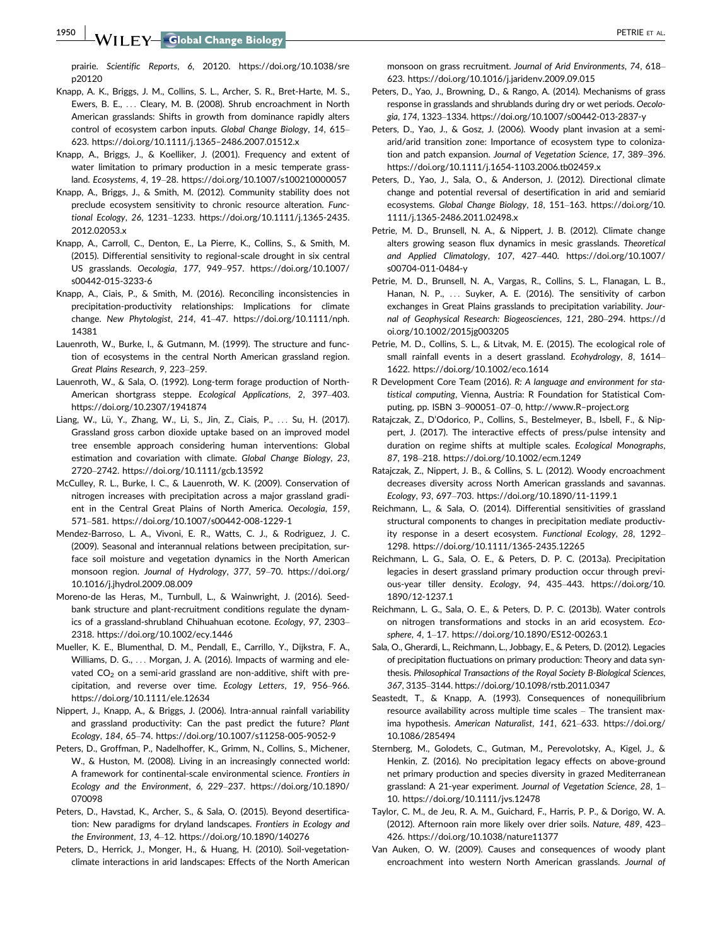**1950 | WII FY Global Change Biology | Alternative Control Control Control Control Control Control Control Control Control Control Control Control Control Control Control Control Control Control Control Control Control Con** 

prairie. Scientific Reports, 6, 20120. [https://doi.org/10.1038/sre](https://doi.org/10.1038/srep20120) [p20120](https://doi.org/10.1038/srep20120)

- Knapp, A. K., Briggs, J. M., Collins, S. L., Archer, S. R., Bret-Harte, M. S., Ewers, B. E., ... Cleary, M. B. (2008). Shrub encroachment in North American grasslands: Shifts in growth from dominance rapidly alters control of ecosystem carbon inputs. Global Change Biology, 14, 615– 623. [https://doi.org/10.1111/j.1365](https://doi.org/10.1111/j.1365%e2%802486.2007.01512.x)–2486.2007.01512.x
- Knapp, A., Briggs, J., & Koelliker, J. (2001). Frequency and extent of water limitation to primary production in a mesic temperate grassland. Ecosystems, 4, 19–28.<https://doi.org/10.1007/s100210000057>
- Knapp, A., Briggs, J., & Smith, M. (2012). Community stability does not preclude ecosystem sensitivity to chronic resource alteration. Functional Ecology, 26, 1231–1233. [https://doi.org/10.1111/j.1365-2435.](https://doi.org/10.1111/j.1365-2435.2012.02053.x) [2012.02053.x](https://doi.org/10.1111/j.1365-2435.2012.02053.x)
- Knapp, A., Carroll, C., Denton, E., La Pierre, K., Collins, S., & Smith, M. (2015). Differential sensitivity to regional-scale drought in six central US grasslands. Oecologia, 177, 949–957. [https://doi.org/10.1007/](https://doi.org/10.1007/s00442-015-3233-6) [s00442-015-3233-6](https://doi.org/10.1007/s00442-015-3233-6)
- Knapp, A., Ciais, P., & Smith, M. (2016). Reconciling inconsistencies in precipitation-productivity relationships: Implications for climate change. New Phytologist, 214, 41–47. [https://doi.org/10.1111/nph.](https://doi.org/10.1111/nph.14381) [14381](https://doi.org/10.1111/nph.14381)
- Lauenroth, W., Burke, I., & Gutmann, M. (1999). The structure and function of ecosystems in the central North American grassland region. Great Plains Research, 9, 223–259.
- Lauenroth, W., & Sala, O. (1992). Long-term forage production of North-American shortgrass steppe. Ecological Applications, 2, 397–403. <https://doi.org/10.2307/1941874>
- Liang, W., Lü, Y., Zhang, W., Li, S., Jin, Z., Ciais, P., ... Su, H. (2017). Grassland gross carbon dioxide uptake based on an improved model tree ensemble approach considering human interventions: Global estimation and covariation with climate. Global Change Biology, 23, 2720–2742.<https://doi.org/10.1111/gcb.13592>
- McCulley, R. L., Burke, I. C., & Lauenroth, W. K. (2009). Conservation of nitrogen increases with precipitation across a major grassland gradient in the Central Great Plains of North America. Oecologia, 159, 571–581.<https://doi.org/10.1007/s00442-008-1229-1>
- Mendez-Barroso, L. A., Vivoni, E. R., Watts, C. J., & Rodriguez, J. C. (2009). Seasonal and interannual relations between precipitation, surface soil moisture and vegetation dynamics in the North American monsoon region. Journal of Hydrology, 377, 59–70. [https://doi.org/](https://doi.org/10.1016/j.jhydrol.2009.08.009) [10.1016/j.jhydrol.2009.08.009](https://doi.org/10.1016/j.jhydrol.2009.08.009)
- Moreno-de las Heras, M., Turnbull, L., & Wainwright, J. (2016). Seedbank structure and plant-recruitment conditions regulate the dynamics of a grassland-shrubland Chihuahuan ecotone. Ecology, 97, 2303– 2318.<https://doi.org/10.1002/ecy.1446>
- Mueller, K. E., Blumenthal, D. M., Pendall, E., Carrillo, Y., Dijkstra, F. A., Williams, D. G., ... Morgan, J. A. (2016). Impacts of warming and elevated  $CO<sub>2</sub>$  on a semi-arid grassland are non-additive, shift with precipitation, and reverse over time. Ecology Letters, 19, 956–966. <https://doi.org/10.1111/ele.12634>
- Nippert, J., Knapp, A., & Briggs, J. (2006). Intra-annual rainfall variability and grassland productivity: Can the past predict the future? Plant Ecology, 184, 65–74.<https://doi.org/10.1007/s11258-005-9052-9>
- Peters, D., Groffman, P., Nadelhoffer, K., Grimm, N., Collins, S., Michener, W., & Huston, M. (2008). Living in an increasingly connected world: A framework for continental-scale environmental science. Frontiers in Ecology and the Environment, 6, 229–237. [https://doi.org/10.1890/](https://doi.org/10.1890/070098) [070098](https://doi.org/10.1890/070098)
- Peters, D., Havstad, K., Archer, S., & Sala, O. (2015). Beyond desertification: New paradigms for dryland landscapes. Frontiers in Ecology and the Environment, 13, 4–12.<https://doi.org/10.1890/140276>
- Peters, D., Herrick, J., Monger, H., & Huang, H. (2010). Soil-vegetationclimate interactions in arid landscapes: Effects of the North American

monsoon on grass recruitment. Journal of Arid Environments, 74, 618– 623.<https://doi.org/10.1016/j.jaridenv.2009.09.015>

- Peters, D., Yao, J., Browning, D., & Rango, A. (2014). Mechanisms of grass response in grasslands and shrublands during dry or wet periods. Oecologia, 174, 1323–1334.<https://doi.org/10.1007/s00442-013-2837-y>
- Peters, D., Yao, J., & Gosz, J. (2006). Woody plant invasion at a semiarid/arid transition zone: Importance of ecosystem type to colonization and patch expansion. Journal of Vegetation Science, 17, 389–396. <https://doi.org/10.1111/j.1654-1103.2006.tb02459.x>
- Peters, D., Yao, J., Sala, O., & Anderson, J. (2012). Directional climate change and potential reversal of desertification in arid and semiarid ecosystems. Global Change Biology, 18, 151–163. [https://doi.org/10.](https://doi.org/10.1111/j.1365-2486.2011.02498.x) [1111/j.1365-2486.2011.02498.x](https://doi.org/10.1111/j.1365-2486.2011.02498.x)
- Petrie, M. D., Brunsell, N. A., & Nippert, J. B. (2012). Climate change alters growing season flux dynamics in mesic grasslands. Theoretical and Applied Climatology, 107, 427–440. [https://doi.org/10.1007/](https://doi.org/10.1007/s00704-011-0484-y) [s00704-011-0484-y](https://doi.org/10.1007/s00704-011-0484-y)
- Petrie, M. D., Brunsell, N. A., Vargas, R., Collins, S. L., Flanagan, L. B., Hanan, N. P., ... Suyker, A. E. (2016). The sensitivity of carbon exchanges in Great Plains grasslands to precipitation variability. Journal of Geophysical Research: Biogeosciences, 121, 280–294. [https://d](https://doi.org/10.1002/2015jg003205) [oi.org/10.1002/2015jg003205](https://doi.org/10.1002/2015jg003205)
- Petrie, M. D., Collins, S. L., & Litvak, M. E. (2015). The ecological role of small rainfall events in a desert grassland. Ecohydrology, 8, 1614– 1622.<https://doi.org/10.1002/eco.1614>
- R Development Core Team (2016). R: A language and environment for statistical computing, Vienna, Austria: R Foundation for Statistical Computing, pp. ISBN 3–900051–07–0, [http://www.R](http://www.R-project.org)–project.org
- Ratajczak, Z., D'Odorico, P., Collins, S., Bestelmeyer, B., Isbell, F., & Nippert, J. (2017). The interactive effects of press/pulse intensity and duration on regime shifts at multiple scales. Ecological Monographs, 87, 198–218.<https://doi.org/10.1002/ecm.1249>
- Ratajczak, Z., Nippert, J. B., & Collins, S. L. (2012). Woody encroachment decreases diversity across North American grasslands and savannas. Ecology, 93, 697–703.<https://doi.org/10.1890/11-1199.1>
- Reichmann, L., & Sala, O. (2014). Differential sensitivities of grassland structural components to changes in precipitation mediate productivity response in a desert ecosystem. Functional Ecology, 28, 1292– 1298.<https://doi.org/10.1111/1365-2435.12265>
- Reichmann, L. G., Sala, O. E., & Peters, D. P. C. (2013a). Precipitation legacies in desert grassland primary production occur through previous-year tiller density. Ecology, 94, 435–443. [https://doi.org/10.](https://doi.org/10.1890/12-1237.1) [1890/12-1237.1](https://doi.org/10.1890/12-1237.1)
- Reichmann, L. G., Sala, O. E., & Peters, D. P. C. (2013b). Water controls on nitrogen transformations and stocks in an arid ecosystem. Ecosphere, 4, 1–17.<https://doi.org/10.1890/ES12-00263.1>
- Sala, O., Gherardi, L., Reichmann, L., Jobbagy, E., & Peters, D. (2012). Legacies of precipitation fluctuations on primary production: Theory and data synthesis. Philosophical Transactions of the Royal Society B-Biological Sciences, 367, 3135–3144.<https://doi.org/10.1098/rstb.2011.0347>
- Seastedt, T., & Knapp, A. (1993). Consequences of nonequilibrium resource availability across multiple time scales – The transient maxima hypothesis. American Naturalist, 141, 621–633. [https://doi.org/](https://doi.org/10.1086/285494) [10.1086/285494](https://doi.org/10.1086/285494)
- Sternberg, M., Golodets, C., Gutman, M., Perevolotsky, A., Kigel, J., & Henkin, Z. (2016). No precipitation legacy effects on above-ground net primary production and species diversity in grazed Mediterranean grassland: A 21-year experiment. Journal of Vegetation Science, 28, 1– 10.<https://doi.org/10.1111/jvs.12478>
- Taylor, C. M., de Jeu, R. A. M., Guichard, F., Harris, P. P., & Dorigo, W. A. (2012). Afternoon rain more likely over drier soils. Nature, 489, 423– 426.<https://doi.org/10.1038/nature11377>
- Van Auken, O. W. (2009). Causes and consequences of woody plant encroachment into western North American grasslands. Journal of